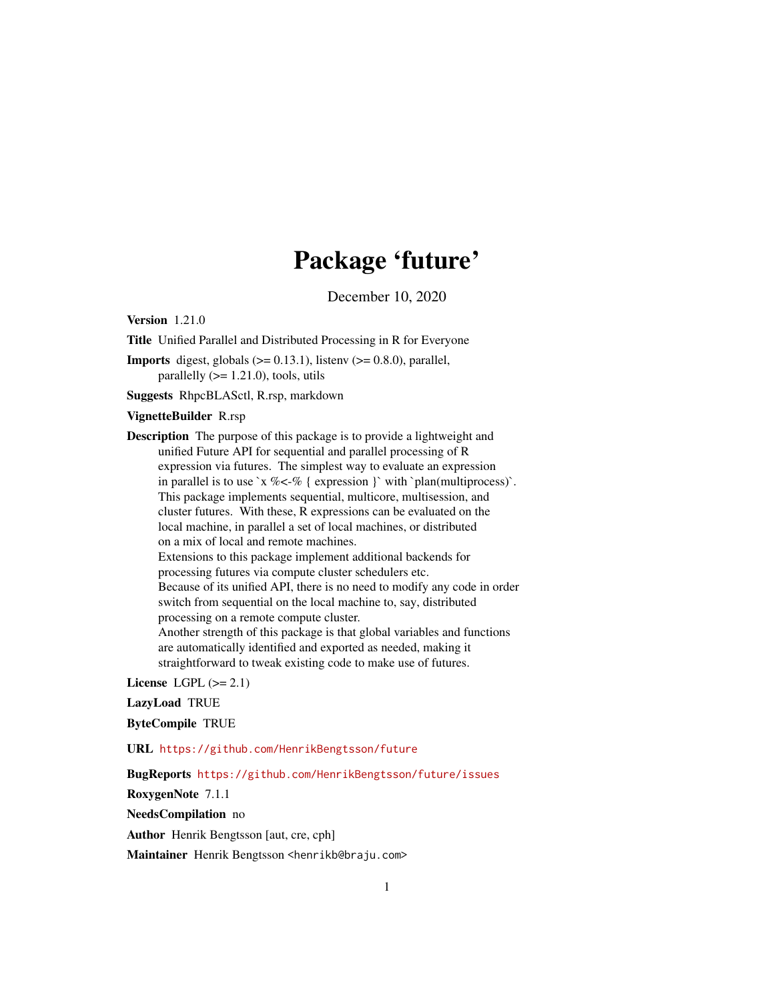# Package 'future'

December 10, 2020

<span id="page-0-0"></span>Version 1.21.0

Title Unified Parallel and Distributed Processing in R for Everyone

**Imports** digest, globals  $(>= 0.13.1)$ , listenv  $(>= 0.8.0)$ , parallel, parallelly  $(>= 1.21.0)$ , tools, utils

Suggests RhpcBLASctl, R.rsp, markdown

#### VignetteBuilder R.rsp

Description The purpose of this package is to provide a lightweight and unified Future API for sequential and parallel processing of R expression via futures. The simplest way to evaluate an expression in parallel is to use `x % <-% { expression }` with `plan(multiprocess)`. This package implements sequential, multicore, multisession, and cluster futures. With these, R expressions can be evaluated on the local machine, in parallel a set of local machines, or distributed on a mix of local and remote machines. Extensions to this package implement additional backends for processing futures via compute cluster schedulers etc. Because of its unified API, there is no need to modify any code in order switch from sequential on the local machine to, say, distributed processing on a remote compute cluster. Another strength of this package is that global variables and functions are automatically identified and exported as needed, making it straightforward to tweak existing code to make use of futures.

License LGPL  $(>= 2.1)$ 

#### LazyLoad TRUE

ByteCompile TRUE

URL <https://github.com/HenrikBengtsson/future>

BugReports <https://github.com/HenrikBengtsson/future/issues>

RoxygenNote 7.1.1

NeedsCompilation no

Author Henrik Bengtsson [aut, cre, cph]

Maintainer Henrik Bengtsson <henrikb@braju.com>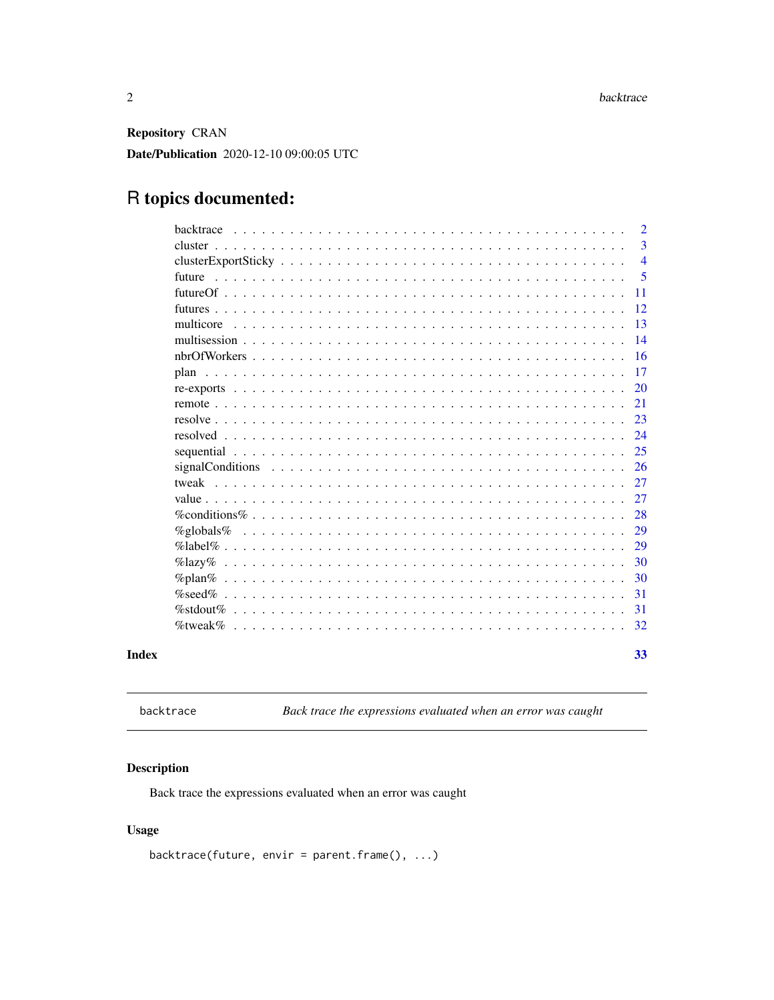<span id="page-1-0"></span>Repository CRAN

Date/Publication 2020-12-10 09:00:05 UTC

## R topics documented:

|       | $\overline{2}$<br>backtrace                                                                                                                                              |
|-------|--------------------------------------------------------------------------------------------------------------------------------------------------------------------------|
|       | 3                                                                                                                                                                        |
|       | $\overline{4}$                                                                                                                                                           |
|       | 5<br>future                                                                                                                                                              |
|       | 11                                                                                                                                                                       |
|       | 12                                                                                                                                                                       |
|       | 13<br>multicore                                                                                                                                                          |
|       | 14                                                                                                                                                                       |
|       | 16                                                                                                                                                                       |
|       | 17                                                                                                                                                                       |
|       | 20                                                                                                                                                                       |
|       | 21                                                                                                                                                                       |
|       | 23                                                                                                                                                                       |
|       | 24                                                                                                                                                                       |
|       | 25<br>sequential $\ldots$ , $\ldots$ , $\ldots$ , $\ldots$ , $\ldots$ , $\ldots$ , $\ldots$ , $\ldots$ , $\ldots$ , $\ldots$ , $\ldots$ , $\ldots$ , $\ldots$ , $\ldots$ |
|       | signal Conditions $\ldots \ldots \ldots \ldots \ldots \ldots \ldots \ldots \ldots \ldots \ldots \ldots \ldots$<br>26                                                     |
|       | 27<br>tweak<br><u>. De la caractería de la caractería de la caractería de la caractería de la caractería de la caractería de la</u>                                      |
|       | 27                                                                                                                                                                       |
|       | 28                                                                                                                                                                       |
|       | 29<br>$\%$ globals $\%$                                                                                                                                                  |
|       | 29                                                                                                                                                                       |
|       | 30<br>$\%$ lazy $\%$                                                                                                                                                     |
|       | 30                                                                                                                                                                       |
|       | 31                                                                                                                                                                       |
|       | $\%$ stdout $\%$<br>31                                                                                                                                                   |
|       | 32                                                                                                                                                                       |
| Index | 33                                                                                                                                                                       |

backtrace *Back trace the expressions evaluated when an error was caught*

#### Description

Back trace the expressions evaluated when an error was caught

#### Usage

backtrace(future, envir = parent.frame(), ...)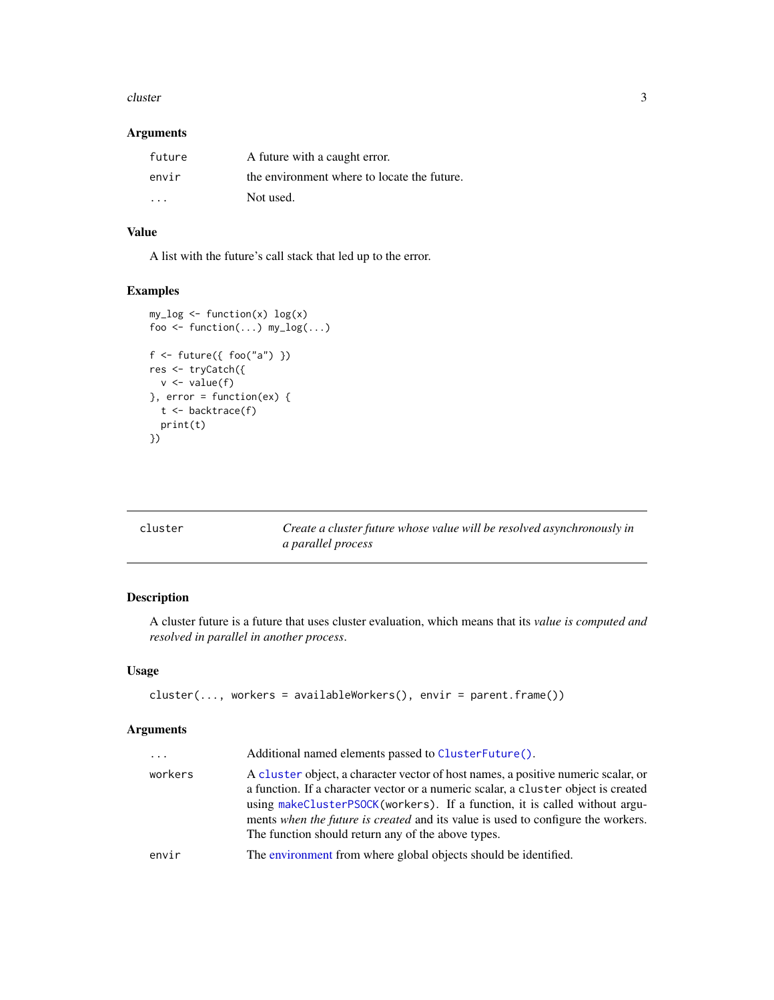#### <span id="page-2-0"></span>cluster 3

#### Arguments

| future | A future with a caught error.               |
|--------|---------------------------------------------|
| envir  | the environment where to locate the future. |
| .      | Not used.                                   |

#### Value

A list with the future's call stack that led up to the error.

#### Examples

```
my_log <- function(x) log(x)
foo <- function(...) my_log(...)f <- future({foo("a") })
res <- tryCatch({
  v \leftarrow value(f)\}, error = function(ex) {
  t <- backtrace(f)
  print(t)
})
```
<span id="page-2-1"></span>

| cluster | Create a cluster future whose value will be resolved asynchronously in |
|---------|------------------------------------------------------------------------|
|         | <i>a parallel process</i>                                              |

### Description

A cluster future is a future that uses cluster evaluation, which means that its *value is computed and resolved in parallel in another process*.

#### Usage

```
cluster(..., workers = availableWorks, c), envir = parent.frame())
```

| $\cdots$ | Additional named elements passed to ClusterFuture().                                                                                                                                                                                                                                                                                                                                            |
|----------|-------------------------------------------------------------------------------------------------------------------------------------------------------------------------------------------------------------------------------------------------------------------------------------------------------------------------------------------------------------------------------------------------|
| workers  | A cluster object, a character vector of host names, a positive numeric scalar, or<br>a function. If a character vector or a numeric scalar, a cluster object is created<br>using makeClusterPSOCK(workers). If a function, it is called without argu-<br>ments when the future is created and its value is used to configure the workers.<br>The function should return any of the above types. |
| envir    | The environment from where global objects should be identified.                                                                                                                                                                                                                                                                                                                                 |
|          |                                                                                                                                                                                                                                                                                                                                                                                                 |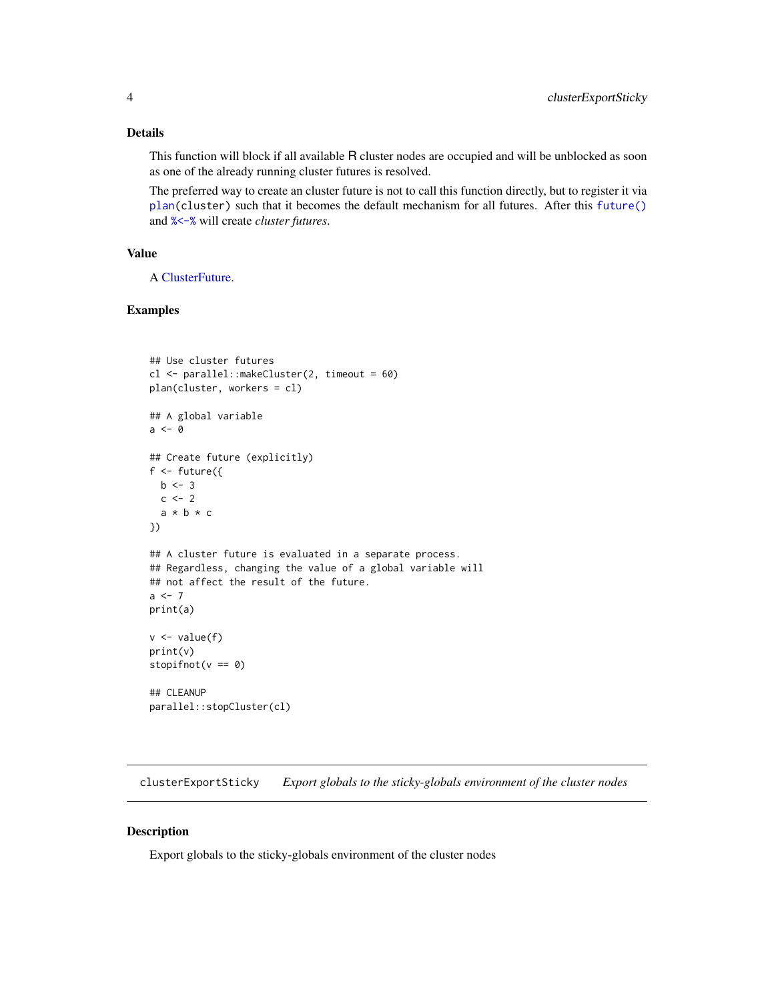#### <span id="page-3-0"></span>Details

This function will block if all available R cluster nodes are occupied and will be unblocked as soon as one of the already running cluster futures is resolved.

The preferred way to create an cluster future is not to call this function directly, but to register it via [plan\(](#page-16-1)cluster) such that it becomes the default mechanism for all futures. After this [future\(\)](#page-4-1) and [%<-%](#page-4-2) will create *cluster futures*.

#### Value

A [ClusterFuture.](#page-0-0)

#### Examples

```
## Use cluster futures
cl <- parallel::makeCluster(2, timeout = 60)
plan(cluster, workers = cl)
## A global variable
a <- 0
## Create future (explicitly)
f \leftarrow future({
 b \le -3c \le -2a * b * c})
## A cluster future is evaluated in a separate process.
## Regardless, changing the value of a global variable will
## not affect the result of the future.
a < -7print(a)
v \leftarrow value(f)
print(v)
stopifnot(v == 0)
## CLEANUP
parallel::stopCluster(cl)
```
clusterExportSticky *Export globals to the sticky-globals environment of the cluster nodes*

#### Description

Export globals to the sticky-globals environment of the cluster nodes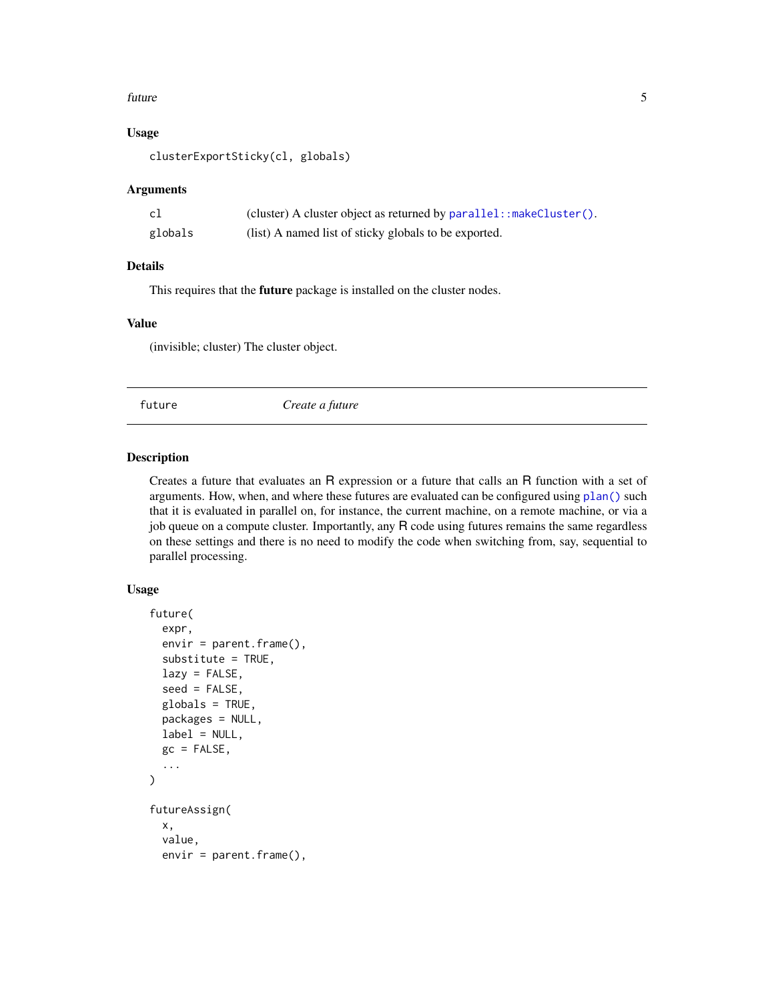#### <span id="page-4-0"></span>future 5

#### Usage

clusterExportSticky(cl, globals)

#### Arguments

| cl      | (cluster) A cluster object as returned by $parallel: makeCluster()$ . |
|---------|-----------------------------------------------------------------------|
| globals | (list) A named list of sticky globals to be exported.                 |

#### Details

This requires that the future package is installed on the cluster nodes.

#### Value

(invisible; cluster) The cluster object.

<span id="page-4-1"></span>future *Create a future*

#### <span id="page-4-2"></span>Description

Creates a future that evaluates an R expression or a future that calls an R function with a set of arguments. How, when, and where these futures are evaluated can be configured using [plan\(\)](#page-16-1) such that it is evaluated in parallel on, for instance, the current machine, on a remote machine, or via a job queue on a compute cluster. Importantly, any R code using futures remains the same regardless on these settings and there is no need to modify the code when switching from, say, sequential to parallel processing.

#### Usage

```
future(
  expr,
  envir = parent.frame(),substitute = TRUE,
  lazy = FALSE,
  seed = FALSE,
 globals = TRUE,
  packages = NULL,
  label = NULL,gc = FALSE,...
\mathcal{L}futureAssign(
  x,
  value,
  envir = parent.frame(),
```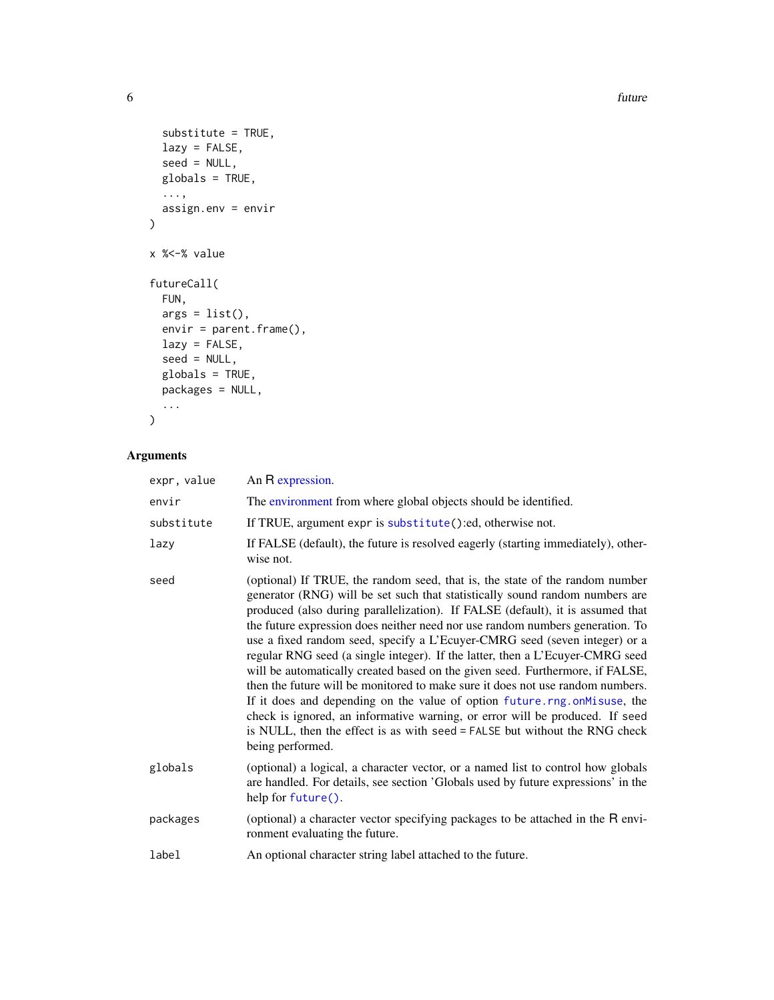**6** future **6 future 6 future 6 future 6 future 6** *future* 

```
substitute = TRUE,
 lazy = FALSE,
 seed = NULL,globals = TRUE,
 ...,
 assign.env = envir
\mathcal{L}x %<-% value
futureCall(
  FUN,
 args = list(),envir = parent.frame(),
 lazy = FALSE,
 seed = NULL,
 globals = TRUE,
 packages = NULL,
 ...
```
 $\mathcal{L}$ 

| expr, value | An R expression.                                                                                                                                                                                                                                                                                                                                                                                                                                                                                                                                                                                                                                                                                                                                                                                                                                                                                                                |
|-------------|---------------------------------------------------------------------------------------------------------------------------------------------------------------------------------------------------------------------------------------------------------------------------------------------------------------------------------------------------------------------------------------------------------------------------------------------------------------------------------------------------------------------------------------------------------------------------------------------------------------------------------------------------------------------------------------------------------------------------------------------------------------------------------------------------------------------------------------------------------------------------------------------------------------------------------|
| envir       | The environment from where global objects should be identified.                                                                                                                                                                                                                                                                                                                                                                                                                                                                                                                                                                                                                                                                                                                                                                                                                                                                 |
| substitute  | If TRUE, argument expr is substitute():ed, otherwise not.                                                                                                                                                                                                                                                                                                                                                                                                                                                                                                                                                                                                                                                                                                                                                                                                                                                                       |
| lazy        | If FALSE (default), the future is resolved eagerly (starting immediately), other-<br>wise not.                                                                                                                                                                                                                                                                                                                                                                                                                                                                                                                                                                                                                                                                                                                                                                                                                                  |
| seed        | (optional) If TRUE, the random seed, that is, the state of the random number<br>generator (RNG) will be set such that statistically sound random numbers are<br>produced (also during parallelization). If FALSE (default), it is assumed that<br>the future expression does neither need nor use random numbers generation. To<br>use a fixed random seed, specify a L'Ecuyer-CMRG seed (seven integer) or a<br>regular RNG seed (a single integer). If the latter, then a L'Ecuyer-CMRG seed<br>will be automatically created based on the given seed. Furthermore, if FALSE,<br>then the future will be monitored to make sure it does not use random numbers.<br>If it does and depending on the value of option future.rng.onMisuse, the<br>check is ignored, an informative warning, or error will be produced. If seed<br>is NULL, then the effect is as with seed = FALSE but without the RNG check<br>being performed. |
| globals     | (optional) a logical, a character vector, or a named list to control how globals<br>are handled. For details, see section 'Globals used by future expressions' in the<br>help for future().                                                                                                                                                                                                                                                                                                                                                                                                                                                                                                                                                                                                                                                                                                                                     |
| packages    | (optional) a character vector specifying packages to be attached in the R envi-<br>ronment evaluating the future.                                                                                                                                                                                                                                                                                                                                                                                                                                                                                                                                                                                                                                                                                                                                                                                                               |
| label       | An optional character string label attached to the future.                                                                                                                                                                                                                                                                                                                                                                                                                                                                                                                                                                                                                                                                                                                                                                                                                                                                      |

<span id="page-5-0"></span>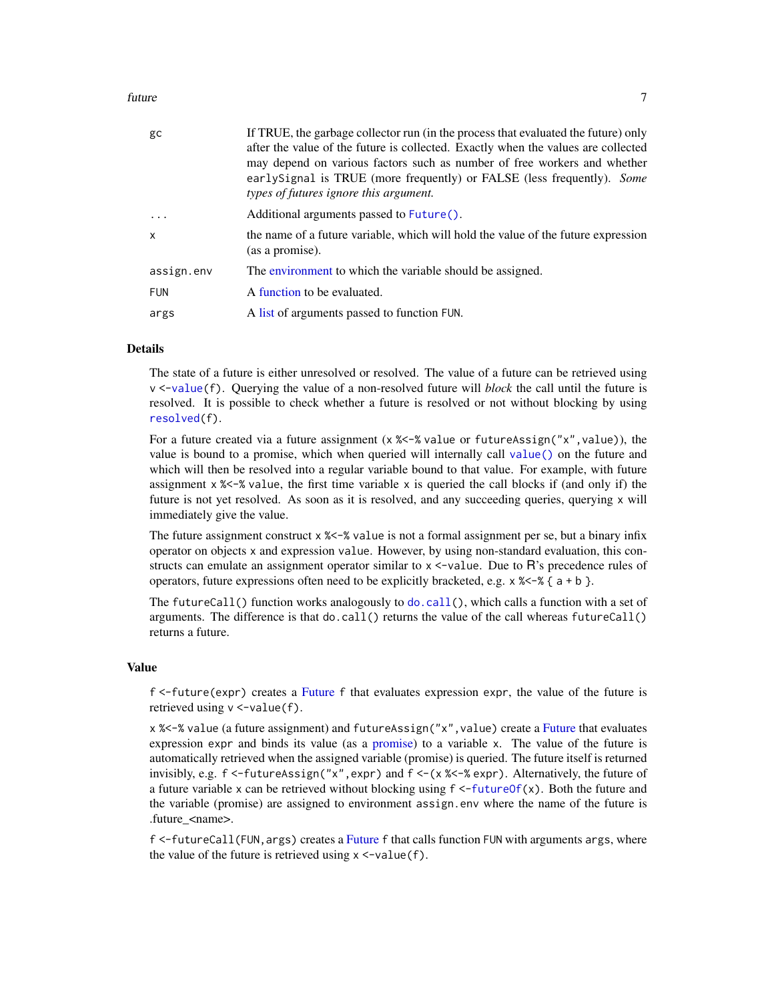#### <span id="page-6-0"></span>future 7

| gc           | If TRUE, the garbage collector run (in the process that evaluated the future) only<br>after the value of the future is collected. Exactly when the values are collected<br>may depend on various factors such as number of free workers and whether<br>earlySignal is TRUE (more frequently) or FALSE (less frequently). Some<br>types of futures ignore this argument. |
|--------------|-------------------------------------------------------------------------------------------------------------------------------------------------------------------------------------------------------------------------------------------------------------------------------------------------------------------------------------------------------------------------|
| .            | Additional arguments passed to Future().                                                                                                                                                                                                                                                                                                                                |
| $\mathsf{x}$ | the name of a future variable, which will hold the value of the future expression<br>(as a promise).                                                                                                                                                                                                                                                                    |
| assign.env   | The environment to which the variable should be assigned.                                                                                                                                                                                                                                                                                                               |
| <b>FUN</b>   | A function to be evaluated.                                                                                                                                                                                                                                                                                                                                             |
| args         | A list of arguments passed to function FUN.                                                                                                                                                                                                                                                                                                                             |

#### Details

The state of a future is either unresolved or resolved. The value of a future can be retrieved using v <[-value\(](#page-26-1)f). Querying the value of a non-resolved future will *block* the call until the future is resolved. It is possible to check whether a future is resolved or not without blocking by using [resolved\(](#page-23-1)f).

For a future created via a future assignment ( $x$  %  $\le$   $\frac{1}{x}$  value or future Assign(" $x$ ", value)), the value is bound to a promise, which when queried will internally call [value\(\)](#page-26-1) on the future and which will then be resolved into a regular variable bound to that value. For example, with future assignment  $x$  % $\lt$ -% value, the first time variable x is queried the call blocks if (and only if) the future is not yet resolved. As soon as it is resolved, and any succeeding queries, querying x will immediately give the value.

The future assignment construct  $x$  % $\lt$ -% value is not a formal assignment per se, but a binary infix operator on objects x and expression value. However, by using non-standard evaluation, this constructs can emulate an assignment operator similar to  $x \le$ -value. Due to  $\overline{R}$ 's precedence rules of operators, future expressions often need to be explicitly bracketed, e.g.  $x \times -\frac{1}{2} a + b$ .

The futureCall() function works analogously to [do.call\(](#page-0-0)), which calls a function with a set of arguments. The difference is that  $do-call()$  returns the value of the call whereas  $futteredall()$ returns a future.

#### Value

f <-future(expr) creates a [Future](#page-0-0) f that evaluates expression expr, the value of the future is retrieved using  $v \le -value(f)$ .

x %<-% value (a future assignment) and futureAssign("x",value) create a [Future](#page-0-0) that evaluates expression expr and binds its value (as a [promise\)](#page-0-0) to a variable x. The value of the future is automatically retrieved when the assigned variable (promise) is queried. The future itself is returned invisibly, e.g.  $f \leq-f$ utureAssign("x", expr) and  $f \leq -(x \ll f \ll x)$ . Alternatively, the future of a future variable x can be retrieved without blocking using  $f \leq$ [-futureOf\(](#page-10-1)x). Both the future and the variable (promise) are assigned to environment assign.env where the name of the future is .future\_<name>.

f <-futureCall(FUN,args) creates a [Future](#page-0-0) f that calls function FUN with arguments args, where the value of the future is retrieved using  $x < -\text{value}(f)$ .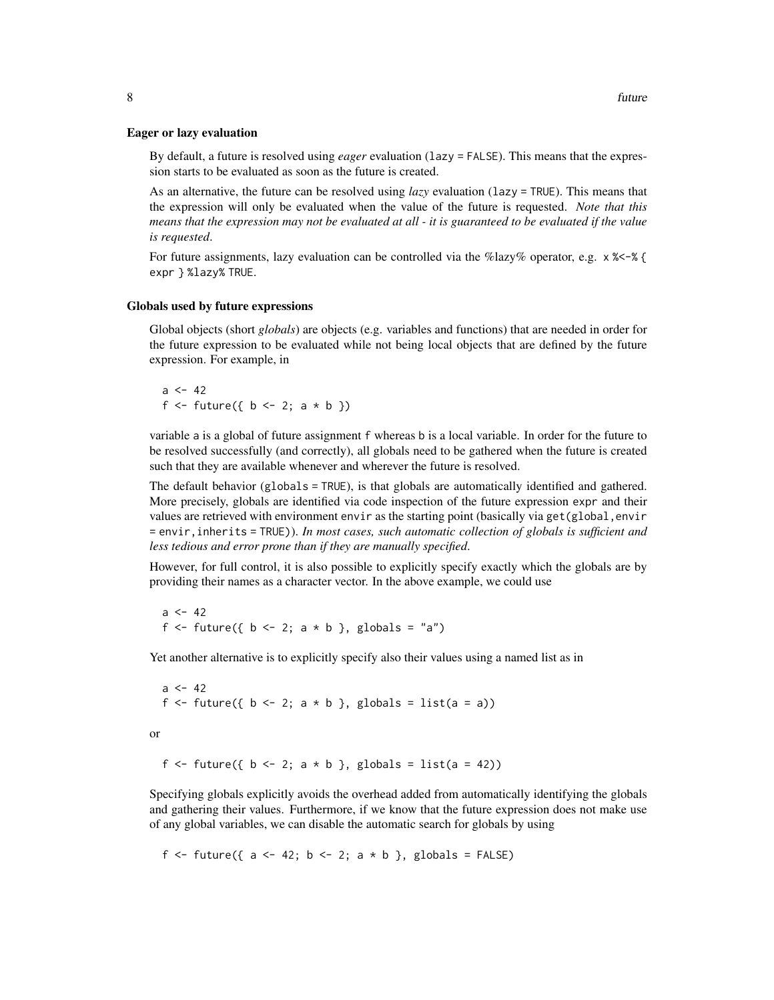#### Eager or lazy evaluation

By default, a future is resolved using *eager* evaluation (lazy = FALSE). This means that the expression starts to be evaluated as soon as the future is created.

As an alternative, the future can be resolved using *lazy* evaluation (lazy = TRUE). This means that the expression will only be evaluated when the value of the future is requested. *Note that this means that the expression may not be evaluated at all - it is guaranteed to be evaluated if the value is requested*.

For future assignments, lazy evaluation can be controlled via the %lazy% operator, e.g.  $\times$   $\ll$  - $\ll$  { expr } %lazy% TRUE.

#### Globals used by future expressions

Global objects (short *globals*) are objects (e.g. variables and functions) that are needed in order for the future expression to be evaluated while not being local objects that are defined by the future expression. For example, in

 $a \le -42$ f <- future({  $b$  <- 2;  $a * b$  })

variable a is a global of future assignment f whereas b is a local variable. In order for the future to be resolved successfully (and correctly), all globals need to be gathered when the future is created such that they are available whenever and wherever the future is resolved.

The default behavior (globals = TRUE), is that globals are automatically identified and gathered. More precisely, globals are identified via code inspection of the future expression expr and their values are retrieved with environment envir as the starting point (basically via get(global,envir = envir,inherits = TRUE)). *In most cases, such automatic collection of globals is sufficient and less tedious and error prone than if they are manually specified*.

However, for full control, it is also possible to explicitly specify exactly which the globals are by providing their names as a character vector. In the above example, we could use

 $a < -42$ f  $\le$  future({ b  $\le$  2; a \* b }, globals = "a")

Yet another alternative is to explicitly specify also their values using a named list as in

 $a \le -42$ f  $\le$  future({ b  $\le$  2; a \* b }, globals = list(a = a)) or f <- future({  $b$  <- 2;  $a * b$  }, globals = list( $a = 42$ ))

Specifying globals explicitly avoids the overhead added from automatically identifying the globals and gathering their values. Furthermore, if we know that the future expression does not make use of any global variables, we can disable the automatic search for globals by using

f <- future({  $a \le 42$ ;  $b \le 2$ ;  $a * b$  }, globals = FALSE)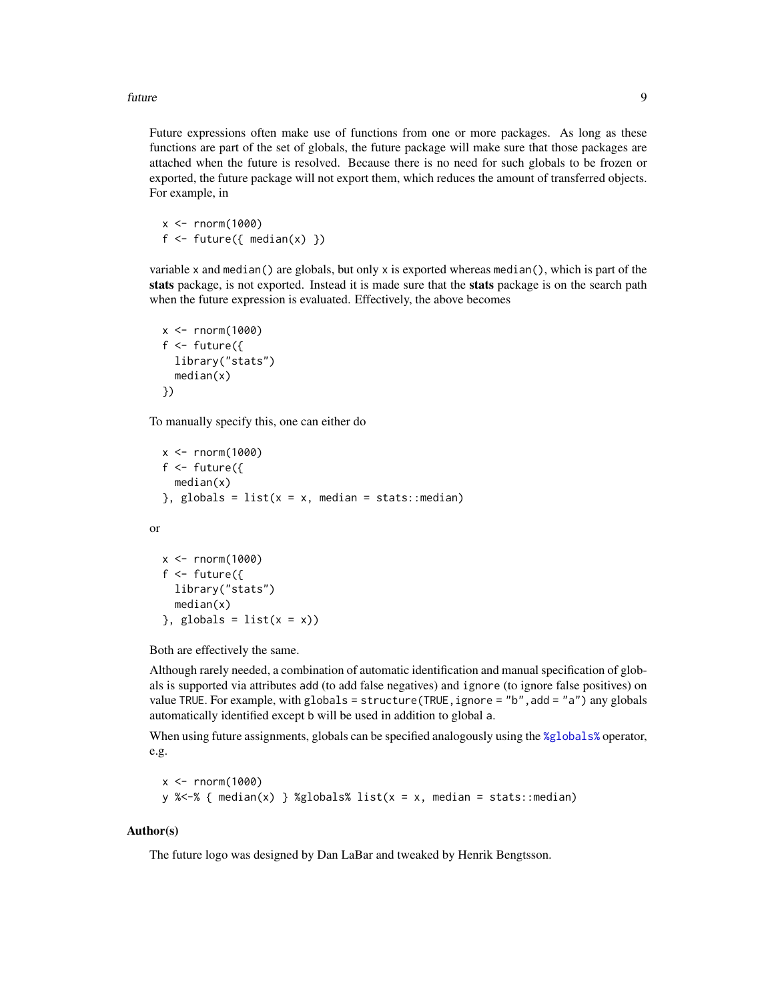<span id="page-8-0"></span>future **9** 

Future expressions often make use of functions from one or more packages. As long as these functions are part of the set of globals, the future package will make sure that those packages are attached when the future is resolved. Because there is no need for such globals to be frozen or exported, the future package will not export them, which reduces the amount of transferred objects. For example, in

 $x < -$  rnorm(1000) f  $\le$  future({ median(x) })

variable x and median() are globals, but only x is exported whereas median(), which is part of the stats package, is not exported. Instead it is made sure that the stats package is on the search path when the future expression is evaluated. Effectively, the above becomes

```
x \le - rnorm(1000)
f \leftarrow future({
  library("stats")
  median(x)
})
```
To manually specify this, one can either do

```
x < - rnorm(1000)
  f \leftarrow future({
    median(x)
  }, globals = list(x = x, median = stats::median)
or
  x < - rnorm(1000)
  f <- future({
    library("stats")
```
Both are effectively the same.

 $},$  globals = list(x = x))

 $median(x)$ 

Although rarely needed, a combination of automatic identification and manual specification of globals is supported via attributes add (to add false negatives) and ignore (to ignore false positives) on value TRUE. For example, with globals = structure(TRUE, ignore = "b", add = "a") any globals automatically identified except b will be used in addition to global a.

When using future assignments, globals can be specified analogously using the [%globals%](#page-28-1) operator, e.g.

```
x < - rnorm(1000)
y % <-% { median(x) } %globals% list(x = x, median = stats::median)
```
#### Author(s)

The future logo was designed by Dan LaBar and tweaked by Henrik Bengtsson.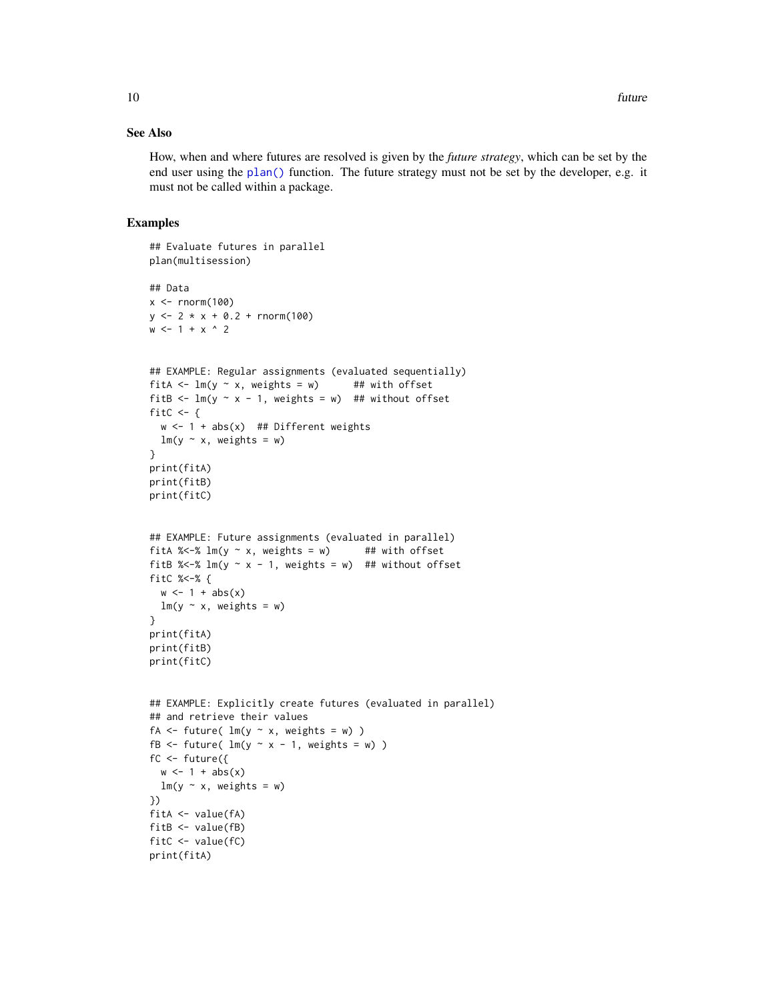#### <span id="page-9-0"></span>See Also

How, when and where futures are resolved is given by the *future strategy*, which can be set by the end user using the [plan\(\)](#page-16-1) function. The future strategy must not be set by the developer, e.g. it must not be called within a package.

#### Examples

```
## Evaluate futures in parallel
plan(multisession)
## Data
x \le rnorm(100)
y \le -2 \times x + 0.2 + \text{rnorm}(100)w \le -1 + x ^ 2
## EXAMPLE: Regular assignments (evaluated sequentially)
fitA <- lm(y \sim x, weights = w) ## with offset
fitB \leftarrow lm(y \sim x - 1, weights = w) ## without offset
fitC <- {
  w \le -1 + abs(x) ## Different weights
 lm(y \sim x, weights = w)}
print(fitA)
print(fitB)
print(fitC)
## EXAMPLE: Future assignments (evaluated in parallel)
fitA % \lt-% lm(y \sim x, weights = w) ## with offset
fitB % <- % lm(y \sim x - 1), weights = w) ## without offset
fitC %<-% {
  w \leftarrow 1 + abs(x)lm(y \sim x, weights = w)}
print(fitA)
print(fitB)
print(fitC)
## EXAMPLE: Explicitly create futures (evaluated in parallel)
## and retrieve their values
fA \leftarrow future( Im(y \sim x, weight s = w))fB \le future( lm(y \sim x - 1, weights = w))
fc \leftarrow future({}w \leftarrow 1 + abs(x)lm(y \sim x, weights = w)})
fitA <- value(fA)
fitB <- value(fB)
fitC \leftarrow value(fC)
print(fitA)
```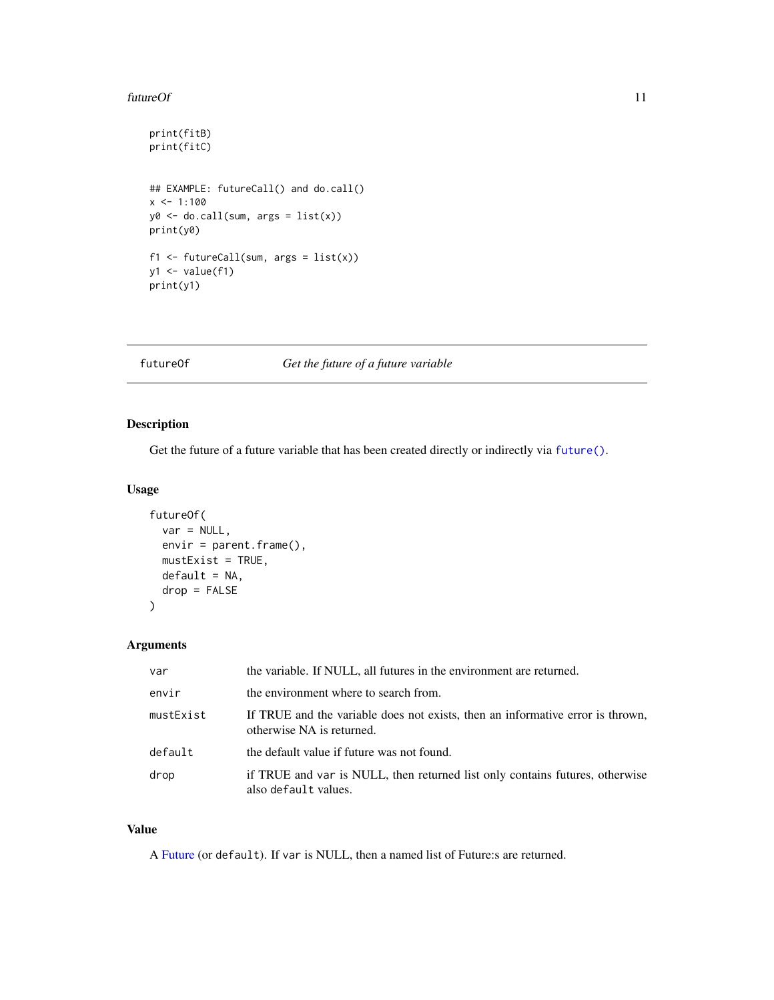#### <span id="page-10-0"></span>futureOf 11

```
print(fitB)
print(fitC)
## EXAMPLE: futureCall() and do.call()
x \le -1:100y0 \leftarrow do.call(sum, args = list(x))print(y0)
f1 <- futureCall(sum, args = list(x))
y1 \leftarrow value(f1)print(y1)
```
#### <span id="page-10-1"></span>futureOf *Get the future of a future variable*

#### Description

Get the future of a future variable that has been created directly or indirectly via [future\(\)](#page-4-1).

#### Usage

```
futureOf(
 var = NULL,envir = parent.frame(),mustExit = TRUE,default = NA,drop = FALSE
\lambda
```
#### Arguments

| var       | the variable. If NULL, all futures in the environment are returned.                                         |
|-----------|-------------------------------------------------------------------------------------------------------------|
| envir     | the environment where to search from.                                                                       |
| mustExist | If TRUE and the variable does not exists, then an informative error is thrown,<br>otherwise NA is returned. |
| default   | the default value if future was not found.                                                                  |
| drop      | if TRUE and var is NULL, then returned list only contains futures, otherwise<br>also default values.        |

#### Value

A [Future](#page-0-0) (or default). If var is NULL, then a named list of Future:s are returned.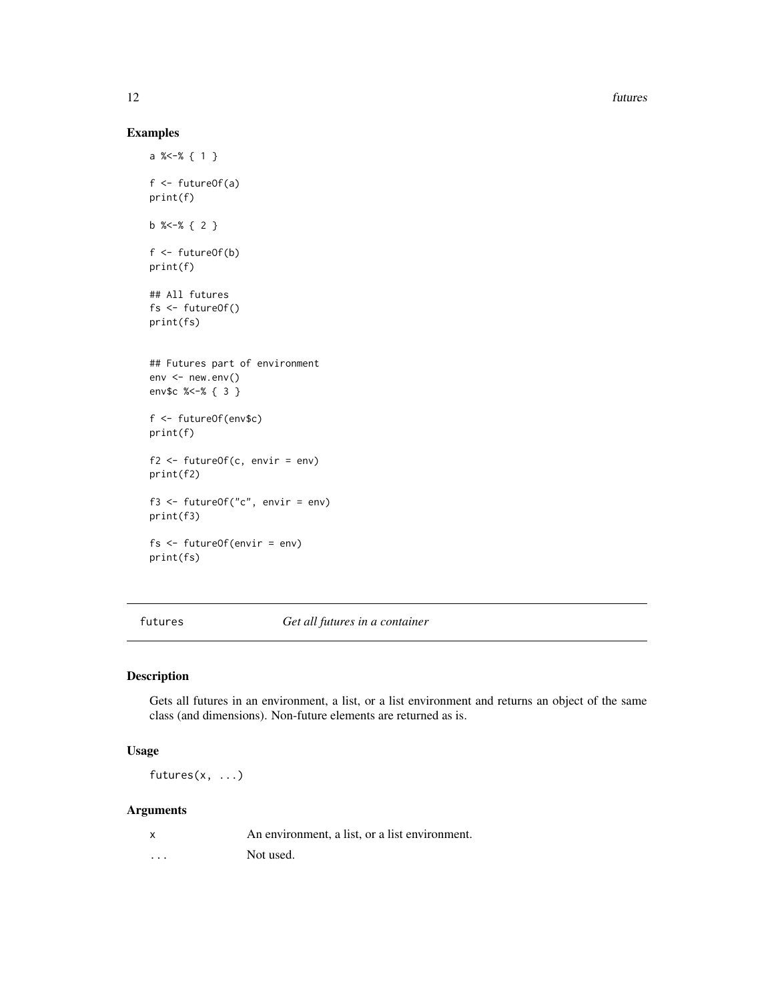12 futures and the state of the state of the state of the state of the state of the state of the state of the state of the state of the state of the state of the state of the state of the state of the state of the state of

#### Examples

```
a %<-% { 1 }
f \leftarrow futureOf(a)
print(f)
b %<-% { 2 }
f <- futureOf(b)
print(f)
## All futures
fs <- futureOf()
print(fs)
## Futures part of environment
env < -newenv()env$c %<-% { 3 }
f <- futureOf(env$c)
print(f)
f2 \leq - futureOf(c, envir = env)
print(f2)
f3 <- futureOf("c", envir = env)
print(f3)
fs <- futureOf(envir = env)
print(fs)
```
futures *Get all futures in a container*

#### Description

Gets all futures in an environment, a list, or a list environment and returns an object of the same class (and dimensions). Non-future elements are returned as is.

#### Usage

futures(x, ...)

|          | An environment, a list, or a list environment. |
|----------|------------------------------------------------|
| $\cdots$ | Not used.                                      |

<span id="page-11-0"></span>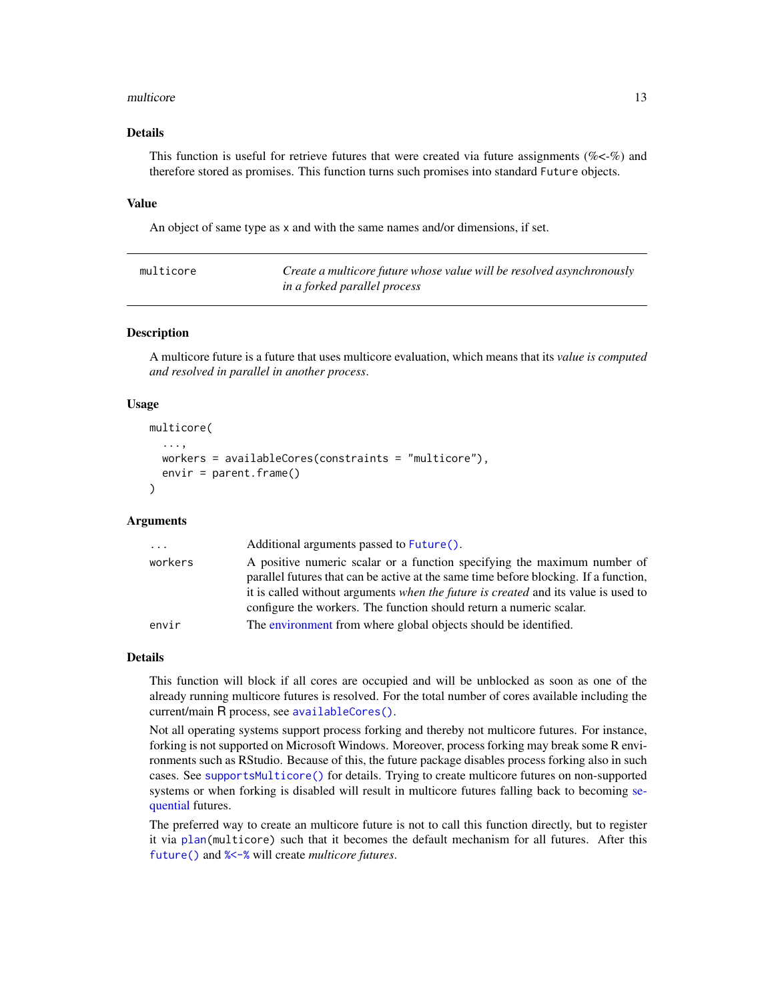#### <span id="page-12-0"></span>multicore de la contradición de la contradición de la contradición de la contradición de la contradición de la contradición de la contradición de la contradición de la contradición de la contradición de la contradición de

#### Details

This function is useful for retrieve futures that were created via future assignments ( $\%$ <- $\%$ ) and therefore stored as promises. This function turns such promises into standard Future objects.

#### Value

An object of same type as x and with the same names and/or dimensions, if set.

<span id="page-12-1"></span>

| multicore | Create a multicore future whose value will be resolved asynchronously |
|-----------|-----------------------------------------------------------------------|
|           | in a forked parallel process                                          |

#### Description

A multicore future is a future that uses multicore evaluation, which means that its *value is computed and resolved in parallel in another process*.

#### Usage

```
multicore(
  ...,
  workers = availableCores(constraints = "multicore"),
  envir = parent.frame()
)
```
#### Arguments

| $\cdots$ | Additional arguments passed to Future().                                                                                                                                                                                                                                                                                      |
|----------|-------------------------------------------------------------------------------------------------------------------------------------------------------------------------------------------------------------------------------------------------------------------------------------------------------------------------------|
| workers  | A positive numeric scalar or a function specifying the maximum number of<br>parallel futures that can be active at the same time before blocking. If a function,<br>it is called without arguments when the future is created and its value is used to<br>configure the workers. The function should return a numeric scalar. |
| envir    | The environment from where global objects should be identified.                                                                                                                                                                                                                                                               |

#### Details

This function will block if all cores are occupied and will be unblocked as soon as one of the already running multicore futures is resolved. For the total number of cores available including the current/main R process, see [availableCores\(\)](#page-19-1).

Not all operating systems support process forking and thereby not multicore futures. For instance, forking is not supported on Microsoft Windows. Moreover, process forking may break some R environments such as RStudio. Because of this, the future package disables process forking also in such cases. See [supportsMulticore\(\)](#page-19-1) for details. Trying to create multicore futures on non-supported systems or when forking is disabled will result in multicore futures falling back to becoming [se](#page-24-1)[quential](#page-24-1) futures.

The preferred way to create an multicore future is not to call this function directly, but to register it via [plan\(](#page-16-1)multicore) such that it becomes the default mechanism for all futures. After this [future\(\)](#page-4-1) and [%<-%](#page-4-2) will create *multicore futures*.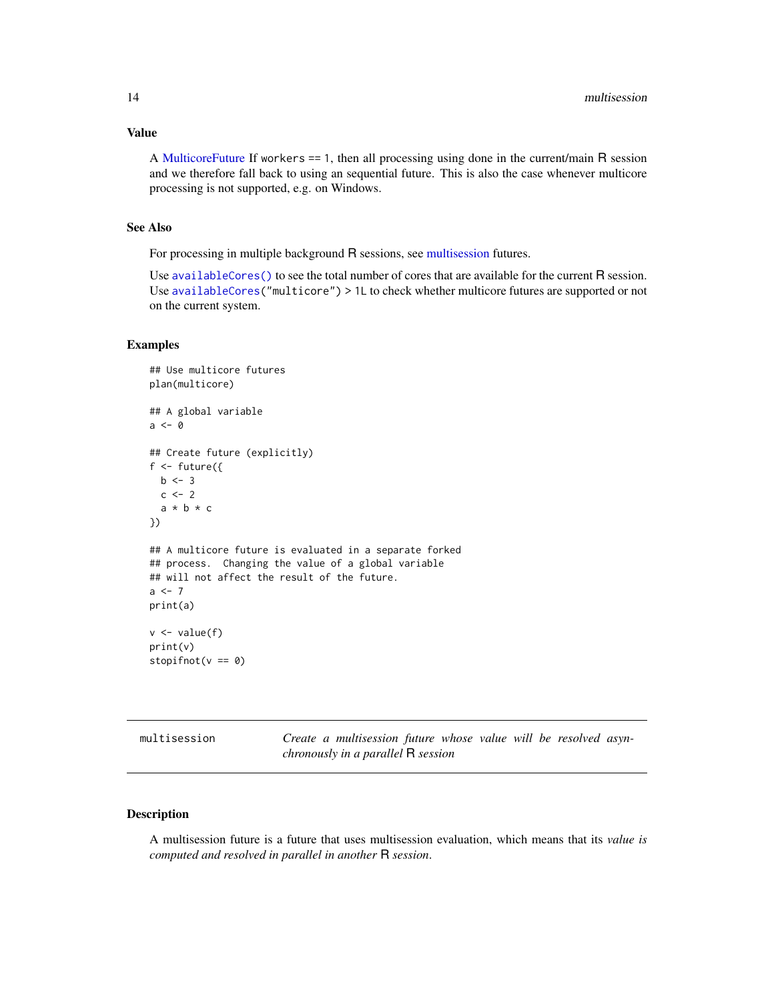#### <span id="page-13-0"></span>Value

A [MulticoreFuture](#page-0-0) If workers == 1, then all processing using done in the current/main R session and we therefore fall back to using an sequential future. This is also the case whenever multicore processing is not supported, e.g. on Windows.

#### See Also

For processing in multiple background R sessions, see [multisession](#page-13-1) futures.

Use [availableCores\(\)](#page-19-1) to see the total number of cores that are available for the current R session. Use [availableCores\(](#page-19-1)"multicore") > 1L to check whether multicore futures are supported or not on the current system.

#### Examples

```
## Use multicore futures
plan(multicore)
## A global variable
a <- 0
## Create future (explicitly)
f \leftarrow future({
  b \le -3c \le -2a * b * c
})
## A multicore future is evaluated in a separate forked
## process. Changing the value of a global variable
## will not affect the result of the future.
a < -7print(a)
v \leftarrow value(f)print(v)
stopifnot(v == 0)
```
<span id="page-13-1"></span>

| multisession                              | Create a multisession future whose value will be resolved asyn- |  |  |  |  |
|-------------------------------------------|-----------------------------------------------------------------|--|--|--|--|
| <i>chronously in a parallel</i> R session |                                                                 |  |  |  |  |

#### Description

A multisession future is a future that uses multisession evaluation, which means that its *value is computed and resolved in parallel in another* R *session*.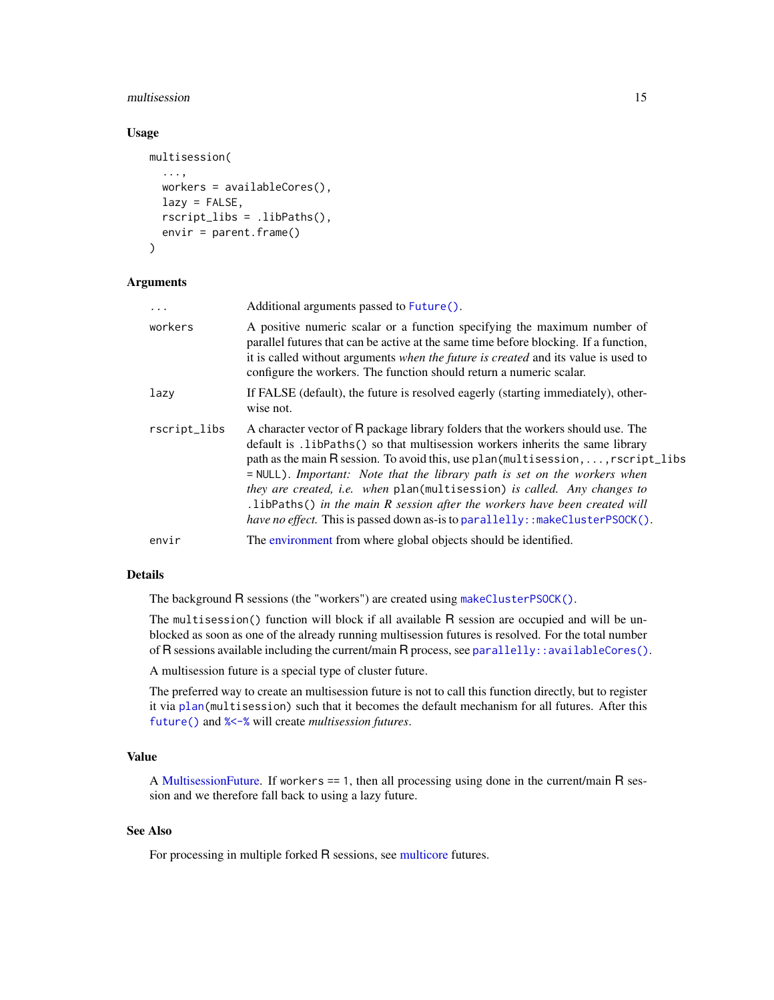#### <span id="page-14-0"></span>multisession and 15

#### Usage

```
multisession(
  ...,
 workers = availableCores(),
 lazy = FALSE,rscript_libs = .libPaths(),
  envir = parent.frame())
```
#### **Arguments**

| $\cdot$      | Additional arguments passed to Future().                                                                                                                                                                                                                                                                                                                                                                                                                                                                                                                                                                   |
|--------------|------------------------------------------------------------------------------------------------------------------------------------------------------------------------------------------------------------------------------------------------------------------------------------------------------------------------------------------------------------------------------------------------------------------------------------------------------------------------------------------------------------------------------------------------------------------------------------------------------------|
| workers      | A positive numeric scalar or a function specifying the maximum number of<br>parallel futures that can be active at the same time before blocking. If a function,<br>it is called without arguments when the future is created and its value is used to<br>configure the workers. The function should return a numeric scalar.                                                                                                                                                                                                                                                                              |
| lazy         | If FALSE (default), the future is resolved eagerly (starting immediately), other-<br>wise not.                                                                                                                                                                                                                                                                                                                                                                                                                                                                                                             |
| rscript_libs | A character vector of R package library folders that the workers should use. The<br>default is .1ibPaths() so that multisession workers inherits the same library<br>path as the main R session. To avoid this, use plan (multisession, , r script libs<br>$=$ NULL). Important: Note that the library path is set on the workers when<br><i>they are created, i.e. when</i> plan(multisession) <i>is called. Any changes to</i><br>.1ibPaths() in the main $R$ session after the workers have been created will<br><i>have no effect</i> . This is passed down as-is to parallelly: : makeClusterPSOCK(). |
| envir        | The environment from where global objects should be identified.                                                                                                                                                                                                                                                                                                                                                                                                                                                                                                                                            |

#### Details

The background R sessions (the "workers") are created using [makeClusterPSOCK\(\)](#page-19-1).

The multisession() function will block if all available R session are occupied and will be unblocked as soon as one of the already running multisession futures is resolved. For the total number of R sessions available including the current/main R process, see [parallelly::availableCores\(\)](#page-0-0).

A multisession future is a special type of cluster future.

The preferred way to create an multisession future is not to call this function directly, but to register it via [plan\(](#page-16-1)multisession) such that it becomes the default mechanism for all futures. After this [future\(\)](#page-4-1) and [%<-%](#page-4-2) will create *multisession futures*.

#### Value

A [MultisessionFuture.](#page-0-0) If workers == 1, then all processing using done in the current/main R session and we therefore fall back to using a lazy future.

#### See Also

For processing in multiple forked R sessions, see [multicore](#page-12-1) futures.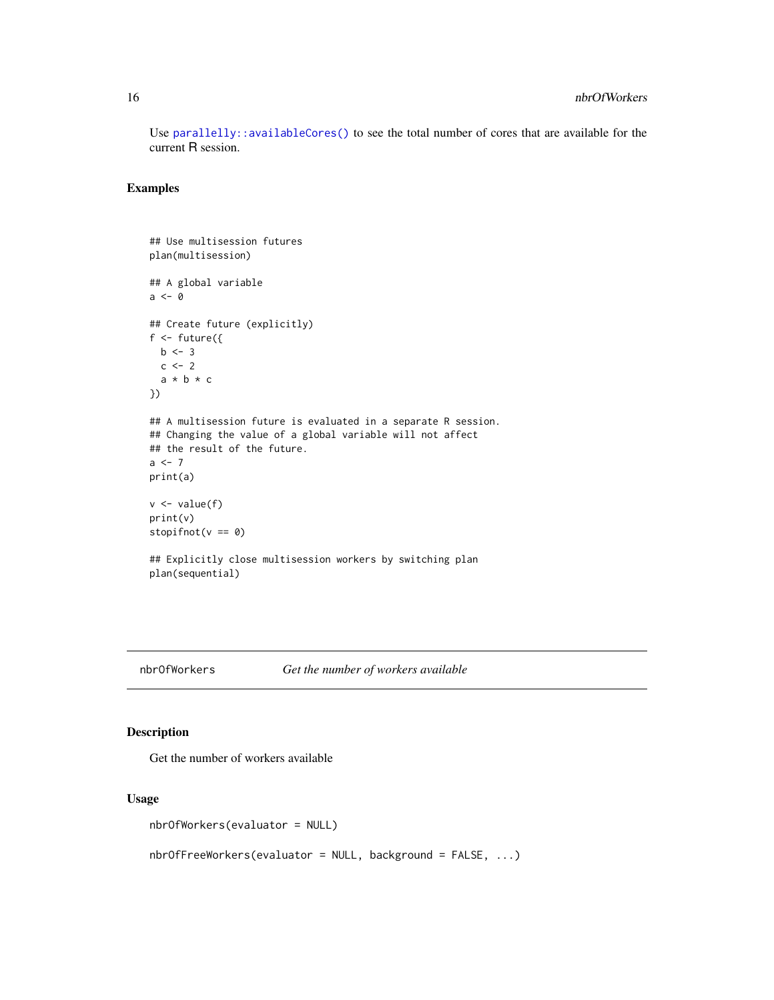Use [parallelly::availableCores\(\)](#page-0-0) to see the total number of cores that are available for the current R session.

#### Examples

```
## Use multisession futures
plan(multisession)
## A global variable
a <- 0
## Create future (explicitly)
f \leftarrow future({
  b \le -3c \leftarrow 2a * b * c})
## A multisession future is evaluated in a separate R session.
## Changing the value of a global variable will not affect
## the result of the future.
a \leftarrow 7print(a)
v \leftarrow value(f)print(v)
stopifnot(v == 0)
## Explicitly close multisession workers by switching plan
plan(sequential)
```
#### nbrOfWorkers *Get the number of workers available*

#### Description

Get the number of workers available

#### Usage

```
nbrOfWorkers(evaluator = NULL)
```
nbrOfFreeWorkers(evaluator = NULL, background = FALSE, ...)

<span id="page-15-0"></span>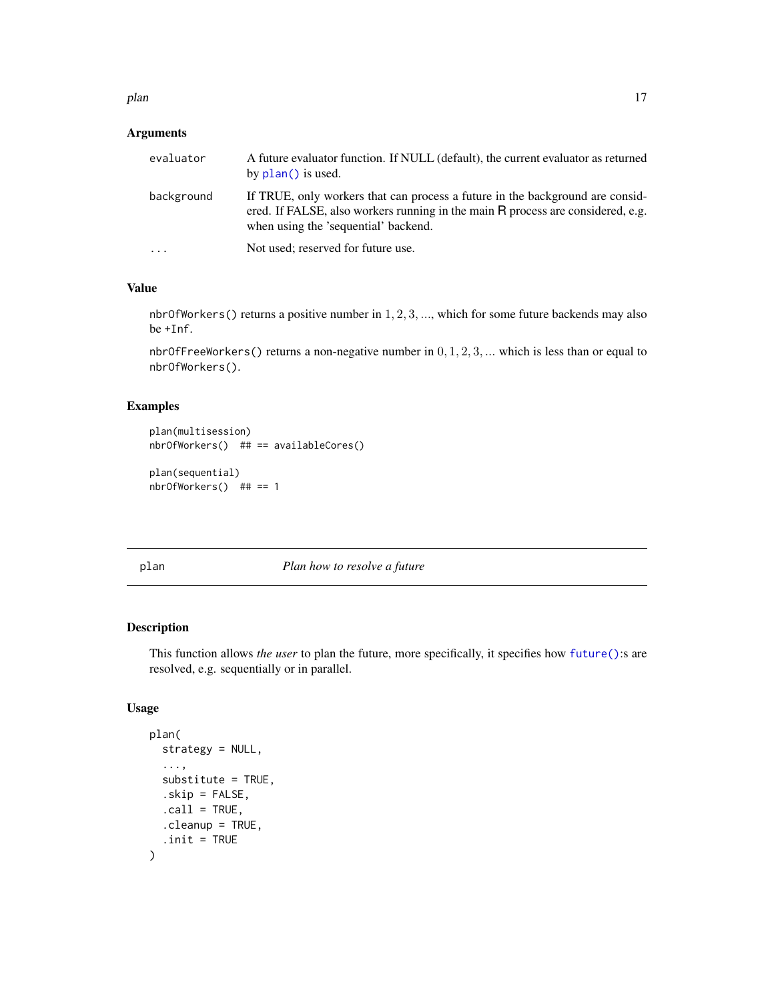<span id="page-16-0"></span>plan the contract of the contract of the contract of the contract of the contract of the contract of the contract of the contract of the contract of the contract of the contract of the contract of the contract of the contr

#### Arguments

| evaluator               | A future evaluator function. If NULL (default), the current evaluator as returned<br>by plan() is used.                                                                                                    |
|-------------------------|------------------------------------------------------------------------------------------------------------------------------------------------------------------------------------------------------------|
| background              | If TRUE, only workers that can process a future in the background are consider-<br>ered. If FALSE, also workers running in the main R process are considered, e.g.<br>when using the 'sequential' backend. |
| $\cdot$ $\cdot$ $\cdot$ | Not used; reserved for future use.                                                                                                                                                                         |

#### Value

nbrOfWorkers() returns a positive number in 1, 2, 3, ..., which for some future backends may also be +Inf.

nbr0fFreeWorkers() returns a non-negative number in  $0, 1, 2, 3, \dots$  which is less than or equal to nbrOfWorkers().

#### Examples

```
plan(multisession)
nbrOfWorkers() ## == availableCores()
```

```
plan(sequential)
nbrOfWorkers() ## == 1
```
<span id="page-16-1"></span>

plan *Plan how to resolve a future*

#### Description

This function allows *the user* to plan the future, more specifically, it specifies how [future\(\)](#page-4-1):s are resolved, e.g. sequentially or in parallel.

#### Usage

```
plan(
  strategy = NULL,
   ...,
  substitute = TRUE,
   .skip = FALSE,
  \text{call} = \text{TRUE},.cleanup = TRUE,
   .init = TRUE\mathcal{E}
```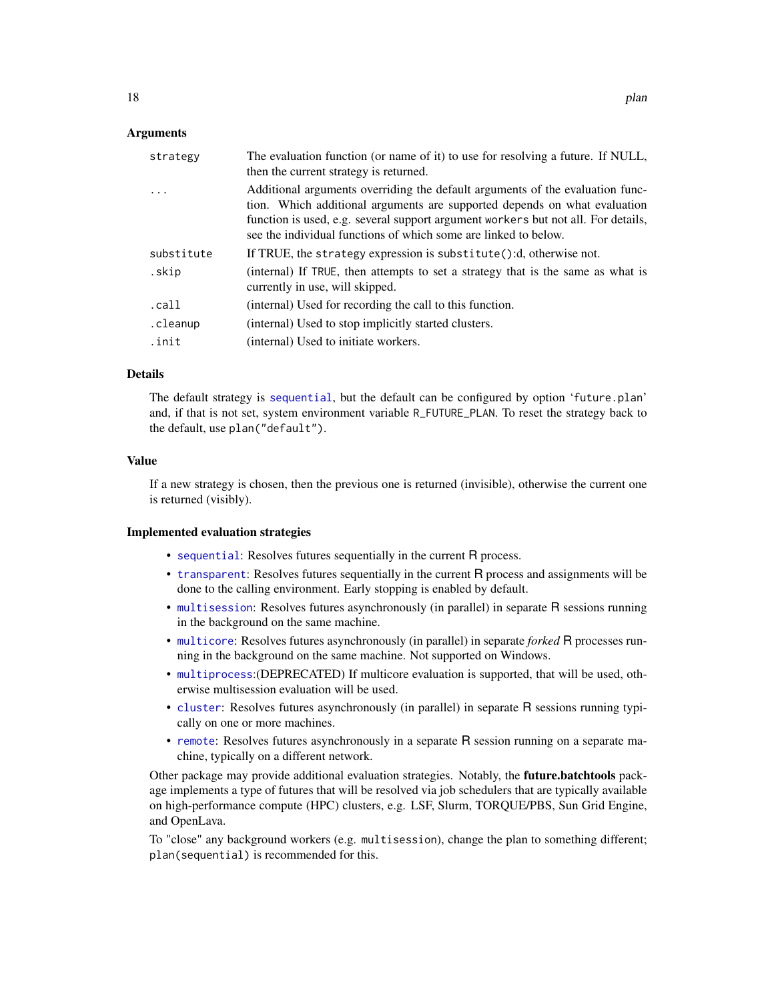#### <span id="page-17-0"></span>Arguments

| strategy   | The evaluation function (or name of it) to use for resolving a future. If NULL,<br>then the current strategy is returned.                                                                                                                                                                                          |
|------------|--------------------------------------------------------------------------------------------------------------------------------------------------------------------------------------------------------------------------------------------------------------------------------------------------------------------|
|            | Additional arguments overriding the default arguments of the evaluation func-<br>tion. Which additional arguments are supported depends on what evaluation<br>function is used, e.g. several support argument workers but not all. For details,<br>see the individual functions of which some are linked to below. |
| substitute | If TRUE, the strategy expression is substitute():d, otherwise not.                                                                                                                                                                                                                                                 |
| .skip      | (internal) If TRUE, then attempts to set a strategy that is the same as what is<br>currently in use, will skipped.                                                                                                                                                                                                 |
| .call      | (internal) Used for recording the call to this function.                                                                                                                                                                                                                                                           |
| .cleanup   | (internal) Used to stop implicitly started clusters.                                                                                                                                                                                                                                                               |
| .init      | (internal) Used to initiate workers.                                                                                                                                                                                                                                                                               |

#### Details

The default strategy is [sequential](#page-24-1), but the default can be configured by option 'future.plan' and, if that is not set, system environment variable R\_FUTURE\_PLAN. To reset the strategy back to the default, use plan("default").

#### Value

If a new strategy is chosen, then the previous one is returned (invisible), otherwise the current one is returned (visibly).

#### Implemented evaluation strategies

- [sequential](#page-24-1): Resolves futures sequentially in the current R process.
- [transparent](#page-24-2): Resolves futures sequentially in the current R process and assignments will be done to the calling environment. Early stopping is enabled by default.
- [multisession](#page-13-1): Resolves futures asynchronously (in parallel) in separate R sessions running in the background on the same machine.
- [multicore](#page-12-1): Resolves futures asynchronously (in parallel) in separate *forked* R processes running in the background on the same machine. Not supported on Windows.
- [multiprocess](#page-0-0):(DEPRECATED) If multicore evaluation is supported, that will be used, otherwise multisession evaluation will be used.
- [cluster](#page-2-1): Resolves futures asynchronously (in parallel) in separate R sessions running typically on one or more machines.
- [remote](#page-20-1): Resolves futures asynchronously in a separate R session running on a separate machine, typically on a different network.

Other package may provide additional evaluation strategies. Notably, the **future.batchtools** package implements a type of futures that will be resolved via job schedulers that are typically available on high-performance compute (HPC) clusters, e.g. LSF, Slurm, TORQUE/PBS, Sun Grid Engine, and OpenLava.

To "close" any background workers (e.g. multisession), change the plan to something different; plan(sequential) is recommended for this.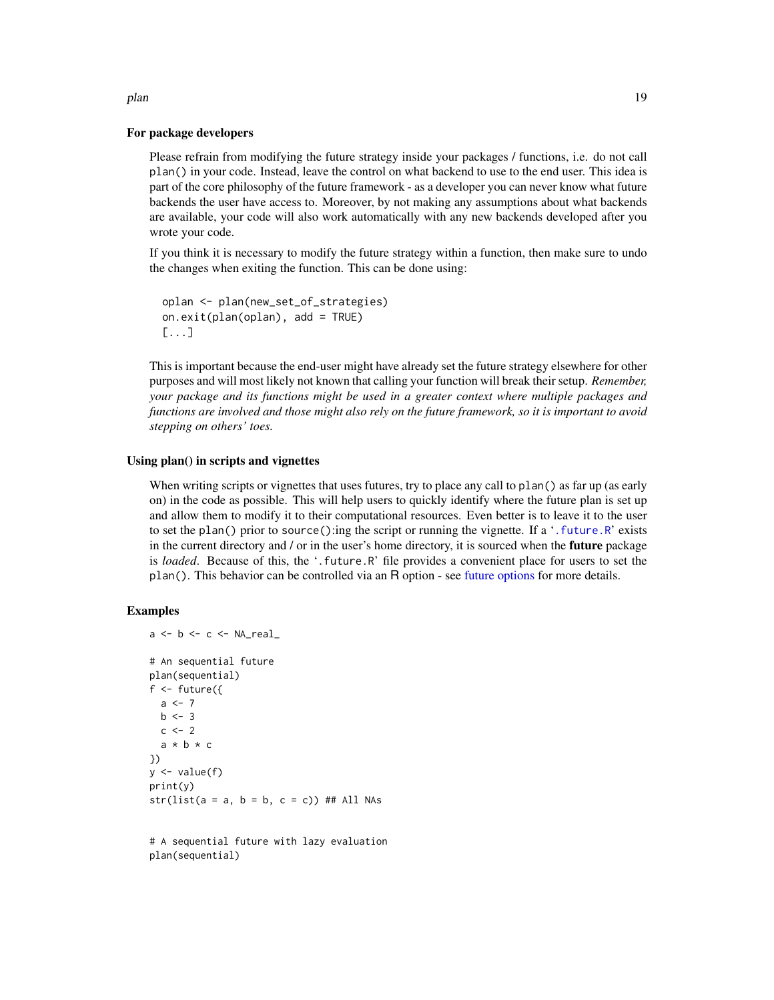#### For package developers

Please refrain from modifying the future strategy inside your packages / functions, i.e. do not call plan() in your code. Instead, leave the control on what backend to use to the end user. This idea is part of the core philosophy of the future framework - as a developer you can never know what future backends the user have access to. Moreover, by not making any assumptions about what backends are available, your code will also work automatically with any new backends developed after you wrote your code.

If you think it is necessary to modify the future strategy within a function, then make sure to undo the changes when exiting the function. This can be done using:

```
oplan <- plan(new_set_of_strategies)
on.exit(plan(oplan), add = TRUE)
[...]
```
This is important because the end-user might have already set the future strategy elsewhere for other purposes and will most likely not known that calling your function will break their setup. *Remember, your package and its functions might be used in a greater context where multiple packages and functions are involved and those might also rely on the future framework, so it is important to avoid stepping on others' toes.*

#### Using plan() in scripts and vignettes

When writing scripts or vignettes that uses futures, try to place any call to plan() as far up (as early on) in the code as possible. This will help users to quickly identify where the future plan is set up and allow them to modify it to their computational resources. Even better is to leave it to the user to set the plan() prior to source():ing the script or running the vignette. If a '[.future.R](#page-0-0)' exists in the current directory and / or in the user's home directory, it is sourced when the **future** package is *loaded*. Because of this, the '.future.R' file provides a convenient place for users to set the plan(). This behavior can be controlled via an R option - see [future options](#page-0-0) for more details.

#### Examples

```
a \leftarrow b \leftarrow c \leftarrow \text{NA\_real\_}# An sequential future
plan(sequential)
f \leftarrow future({
  a \le -7b \le -3c \le -2a * b * c})
y \leftarrow value(f)print(y)
str(list(a = a, b = b, c = c)) # # All NAS
```
# A sequential future with lazy evaluation plan(sequential)

<span id="page-18-0"></span>plan the contract of the contract of the contract of the contract of the contract of the contract of the contract of the contract of the contract of the contract of the contract of the contract of the contract of the contr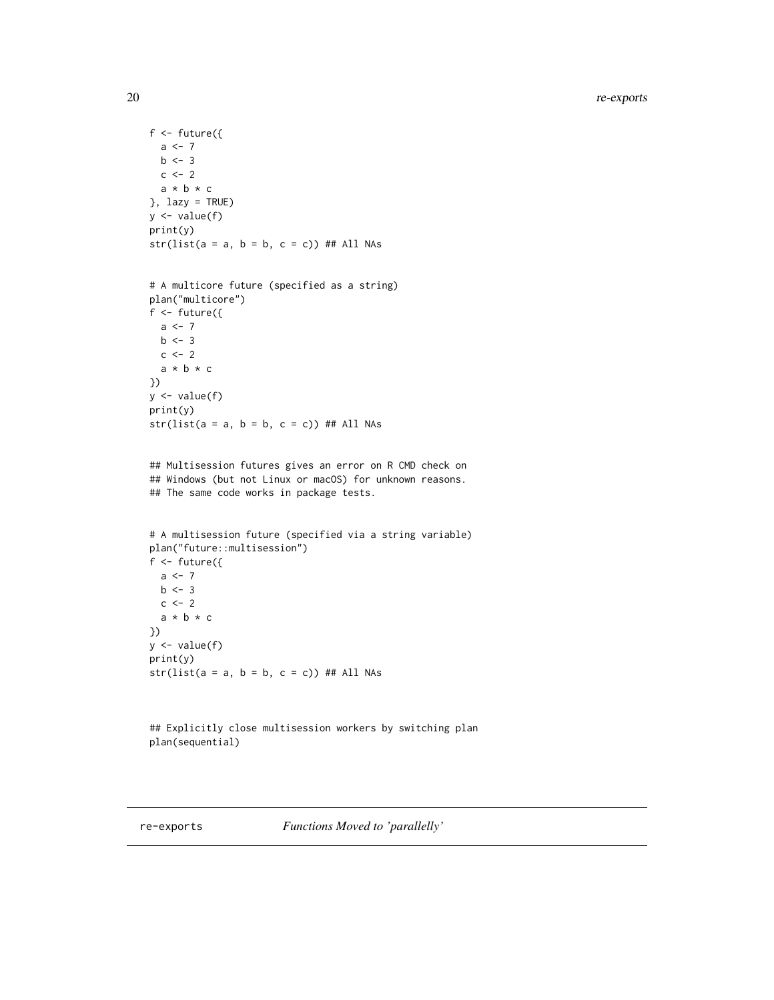```
f \leftarrow future({
  a \leftarrow 7b \le -3c \le -2a * b * c}, lazy = TRUE)
y \leftarrow value(f)
print(y)
str(list(a = a, b = b, c = c)) ## All NAs
# A multicore future (specified as a string)
plan("multicore")
f \leftarrow future({
  a \leftarrow 7b \le -3c \le -2a * b * c})
y \leftarrow value(f)
print(y)
str(list(a = a, b = b, c = c)) ## All NAs
## Multisession futures gives an error on R CMD check on
## Windows (but not Linux or macOS) for unknown reasons.
## The same code works in package tests.
# A multisession future (specified via a string variable)
plan("future::multisession")
f <- future({
  a \leftarrow 7b \le -3c \le -2a * b * c
})
y <- value(f)
print(y)
str(list(a = a, b = b, c = c)) ## All NAs
## Explicitly close multisession workers by switching plan
plan(sequential)
```
<span id="page-19-1"></span>

re-exports *Functions Moved to 'parallelly'*

<span id="page-19-0"></span>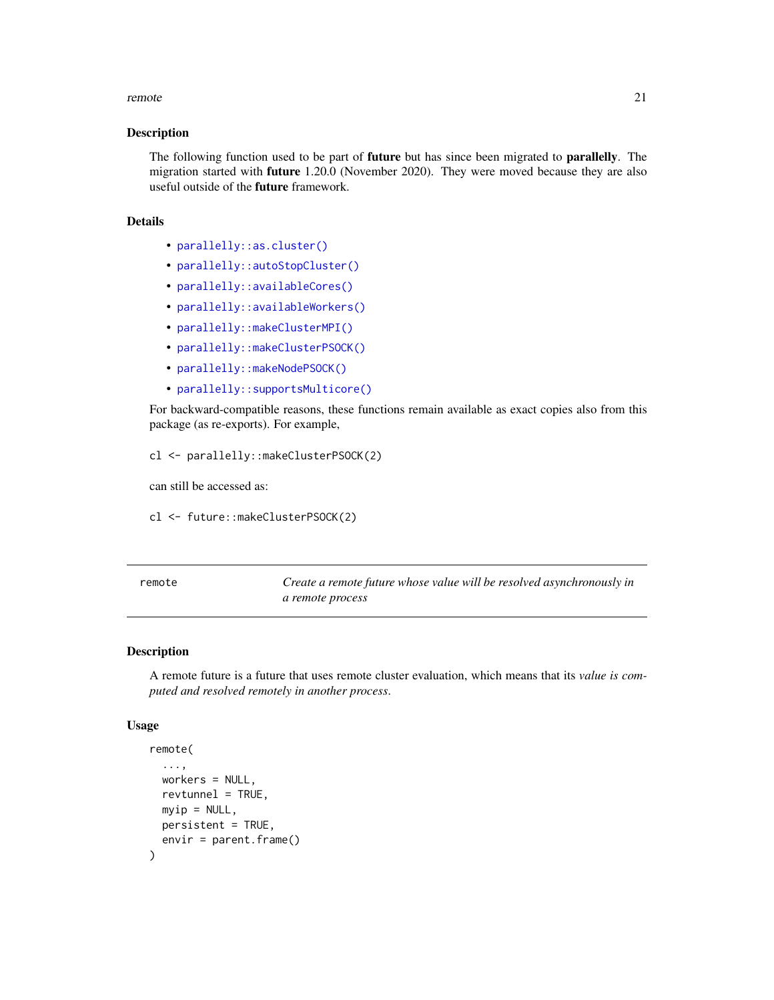#### <span id="page-20-0"></span>remote 21

#### Description

The following function used to be part of **future** but has since been migrated to **parallelly**. The migration started with future 1.20.0 (November 2020). They were moved because they are also useful outside of the **future** framework.

#### Details

- [parallelly::as.cluster\(\)](#page-0-0)
- [parallelly::autoStopCluster\(\)](#page-0-0)
- [parallelly::availableCores\(\)](#page-0-0)
- [parallelly::availableWorkers\(\)](#page-0-0)
- [parallelly::makeClusterMPI\(\)](#page-0-0)
- [parallelly::makeClusterPSOCK\(\)](#page-0-0)
- [parallelly::makeNodePSOCK\(\)](#page-0-0)
- [parallelly::supportsMulticore\(\)](#page-0-0)

For backward-compatible reasons, these functions remain available as exact copies also from this package (as re-exports). For example,

cl <- parallelly::makeClusterPSOCK(2)

can still be accessed as:

cl <- future::makeClusterPSOCK(2)

<span id="page-20-1"></span>remote *Create a remote future whose value will be resolved asynchronously in a remote process*

#### Description

A remote future is a future that uses remote cluster evaluation, which means that its *value is computed and resolved remotely in another process*.

#### Usage

```
remote(
  ...,
  workers = NULL,
  revtunnel = TRUE,myip = NULL,
 persistent = TRUE,
  envir = parent.frame()
)
```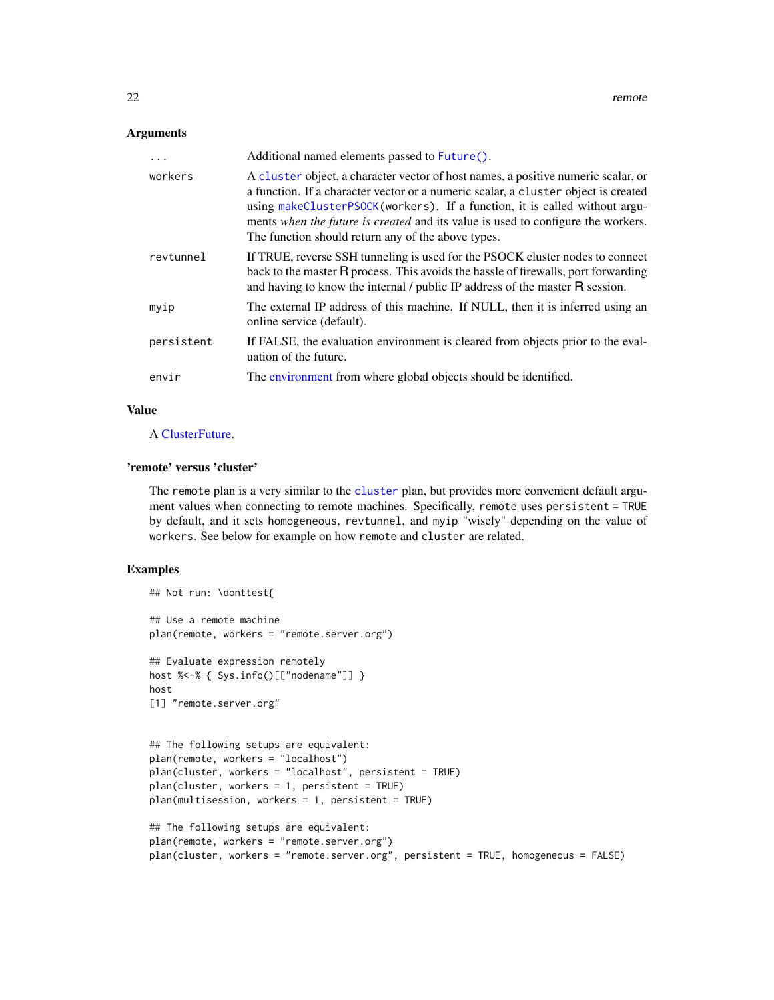#### <span id="page-21-0"></span>**Arguments**

| .          | Additional named elements passed to Future().                                                                                                                                                                                                                                                                                                                                                   |
|------------|-------------------------------------------------------------------------------------------------------------------------------------------------------------------------------------------------------------------------------------------------------------------------------------------------------------------------------------------------------------------------------------------------|
| workers    | A cluster object, a character vector of host names, a positive numeric scalar, or<br>a function. If a character vector or a numeric scalar, a cluster object is created<br>using makeClusterPSOCK(workers). If a function, it is called without argu-<br>ments when the future is created and its value is used to configure the workers.<br>The function should return any of the above types. |
| revtunnel  | If TRUE, reverse SSH tunneling is used for the PSOCK cluster nodes to connect<br>back to the master R process. This avoids the hassle of firewalls, port forwarding<br>and having to know the internal / public IP address of the master R session.                                                                                                                                             |
| myip       | The external IP address of this machine. If NULL, then it is inferred using an<br>online service (default).                                                                                                                                                                                                                                                                                     |
| persistent | If FALSE, the evaluation environment is cleared from objects prior to the eval-<br>uation of the future.                                                                                                                                                                                                                                                                                        |
| envir      | The environment from where global objects should be identified.                                                                                                                                                                                                                                                                                                                                 |

#### Value

A [ClusterFuture.](#page-0-0)

#### 'remote' versus 'cluster'

The remote plan is a very similar to the [cluster](#page-2-1) plan, but provides more convenient default argument values when connecting to remote machines. Specifically, remote uses persistent = TRUE by default, and it sets homogeneous, revtunnel, and myip "wisely" depending on the value of workers. See below for example on how remote and cluster are related.

#### Examples

```
## Not run: \donttest{
## Use a remote machine
plan(remote, workers = "remote.server.org")
## Evaluate expression remotely
host %<-% { Sys.info()[["nodename"]] }
host
[1] "remote.server.org"
## The following setups are equivalent:
plan(remote, workers = "localhost")
plan(cluster, workers = "localhost", persistent = TRUE)
plan(cluster, workers = 1, persistent = TRUE)
plan(multisession, workers = 1, persistent = TRUE)
## The following setups are equivalent:
```

```
plan(remote, workers = "remote.server.org")
plan(cluster, workers = "remote.server.org", persistent = TRUE, homogeneous = FALSE)
```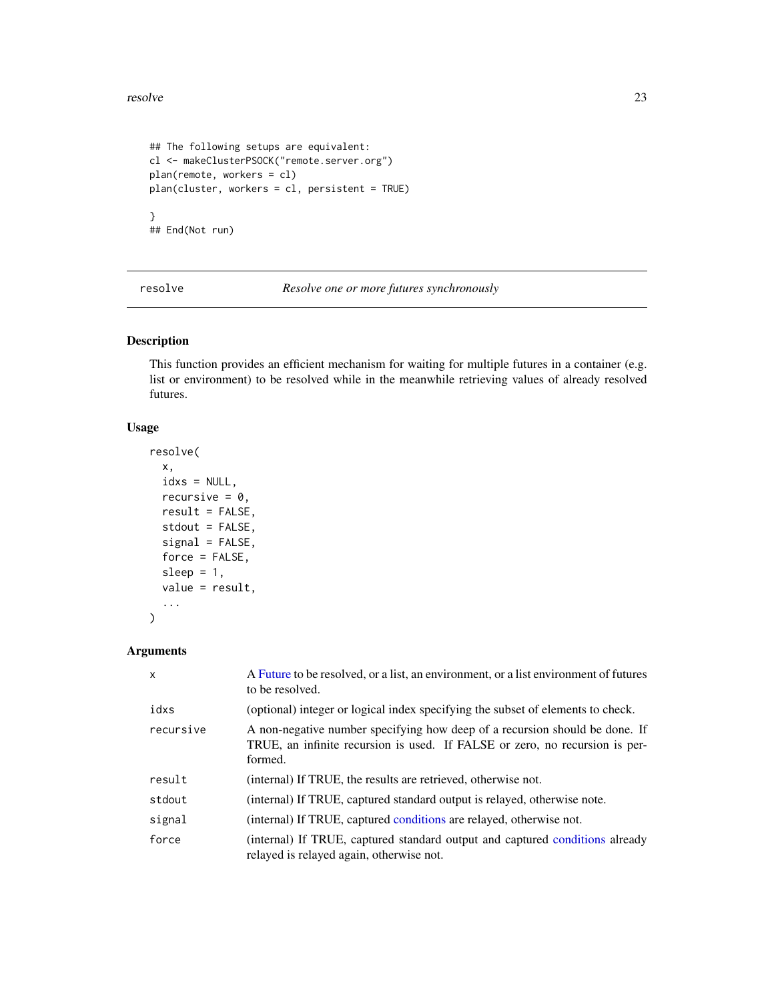#### <span id="page-22-0"></span>resolve 23

```
## The following setups are equivalent:
cl <- makeClusterPSOCK("remote.server.org")
plan(remote, workers = cl)
plan(cluster, workers = cl, persistent = TRUE)
}
## End(Not run)
```
resolve *Resolve one or more futures synchronously*

#### Description

This function provides an efficient mechanism for waiting for multiple futures in a container (e.g. list or environment) to be resolved while in the meanwhile retrieving values of already resolved futures.

#### Usage

```
resolve(
  x,
 idxs = NULL,recursive = 0,
  result = FALSE,
  stdout = FALSE,
  signal = FALSE,force = FALSE,
  sleep = 1,
 value = result,
  ...
)
```

| X         | A Future to be resolved, or a list, an environment, or a list environment of futures<br>to be resolved.                                                               |
|-----------|-----------------------------------------------------------------------------------------------------------------------------------------------------------------------|
| idxs      | (optional) integer or logical index specifying the subset of elements to check.                                                                                       |
| recursive | A non-negative number specifying how deep of a recursion should be done. If<br>TRUE, an infinite recursion is used. If FALSE or zero, no recursion is per-<br>formed. |
| result    | (internal) If TRUE, the results are retrieved, otherwise not.                                                                                                         |
| stdout    | (internal) If TRUE, captured standard output is relayed, otherwise note.                                                                                              |
| signal    | (internal) If TRUE, captured conditions are relayed, otherwise not.                                                                                                   |
| force     | (internal) If TRUE, captured standard output and captured conditions already<br>relayed is relayed again, otherwise not.                                              |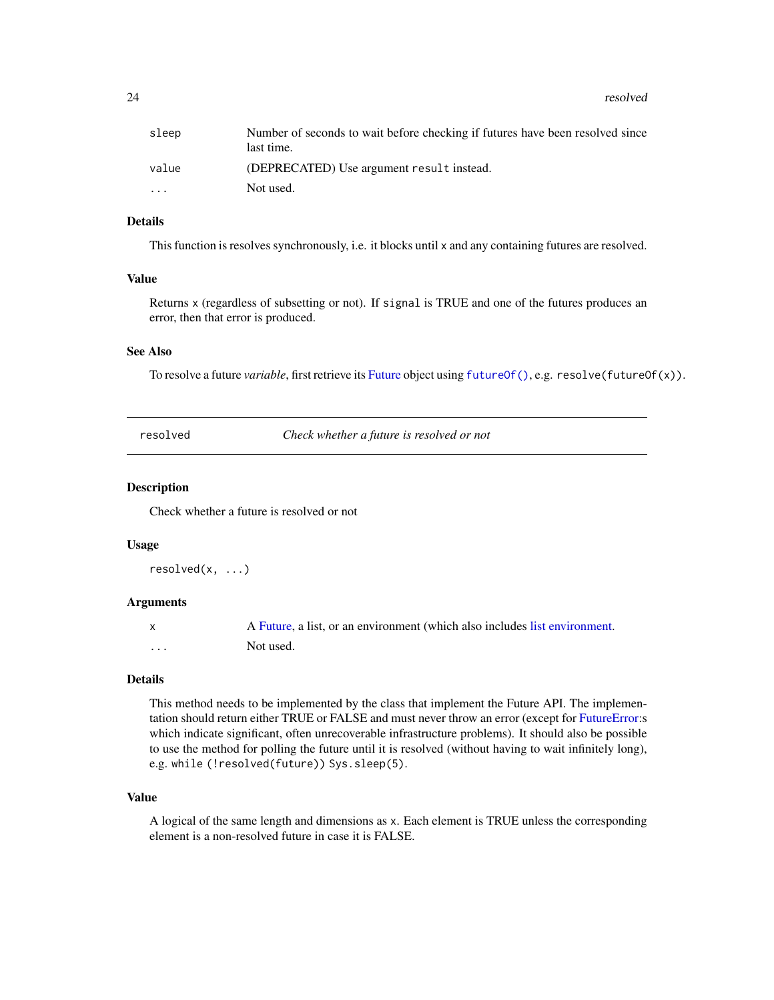<span id="page-23-0"></span>24 resolved

#### Details

This function is resolves synchronously, i.e. it blocks until x and any containing futures are resolved.

#### Value

Returns x (regardless of subsetting or not). If signal is TRUE and one of the futures produces an error, then that error is produced.

#### See Also

To resolve a future *variable*, first retrieve its [Future](#page-0-0) object using [futureOf\(\)](#page-10-1), e.g. resolve(futureOf(x)).

<span id="page-23-1"></span>resolved *Check whether a future is resolved or not*

#### **Description**

Check whether a future is resolved or not

#### Usage

```
resolved(x, ...)
```
#### Arguments

|   | A Future, a list, or an environment (which also includes list environment. |
|---|----------------------------------------------------------------------------|
| . | Not used.                                                                  |

#### Details

This method needs to be implemented by the class that implement the Future API. The implementation should return either TRUE or FALSE and must never throw an error (except for [FutureError:](#page-0-0)s which indicate significant, often unrecoverable infrastructure problems). It should also be possible to use the method for polling the future until it is resolved (without having to wait infinitely long), e.g. while (!resolved(future)) Sys.sleep(5).

#### Value

A logical of the same length and dimensions as x. Each element is TRUE unless the corresponding element is a non-resolved future in case it is FALSE.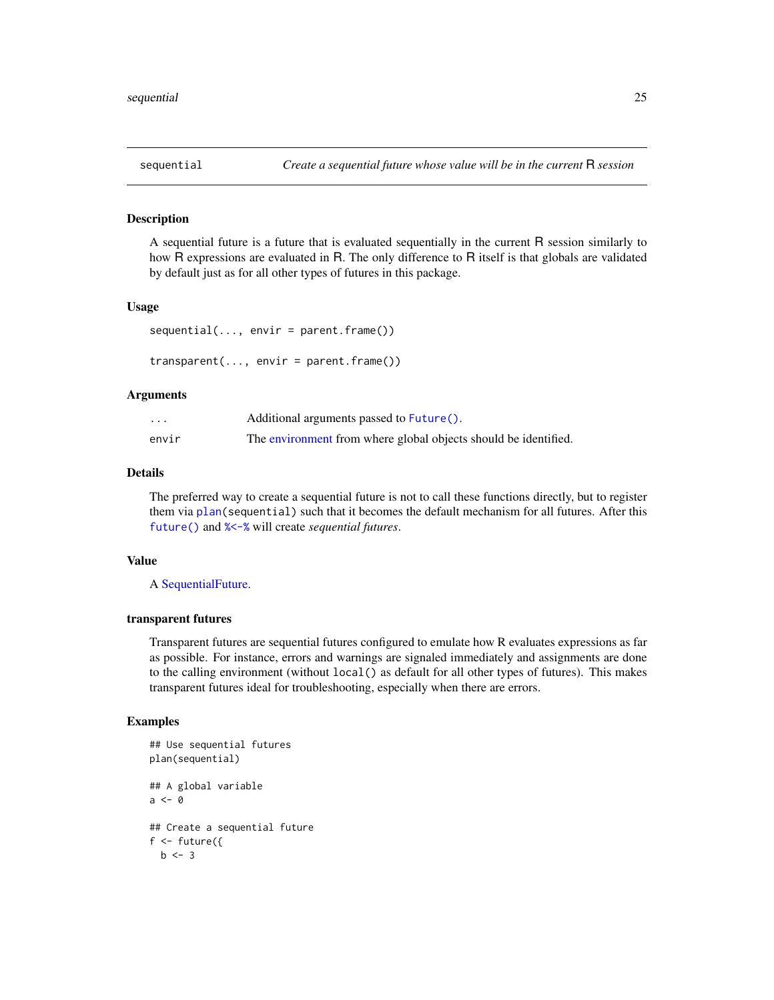<span id="page-24-2"></span><span id="page-24-1"></span><span id="page-24-0"></span>

A sequential future is a future that is evaluated sequentially in the current R session similarly to how R expressions are evaluated in R. The only difference to R itself is that globals are validated by default just as for all other types of futures in this package.

#### Usage

```
sequential(..., envir = parent-frame())transparent(..., envir = parent.frame())
```
#### Arguments

| $\cdot$ | Additional arguments passed to Future().                        |
|---------|-----------------------------------------------------------------|
| envir   | The environment from where global objects should be identified. |

#### Details

The preferred way to create a sequential future is not to call these functions directly, but to register them via [plan\(](#page-16-1)sequential) such that it becomes the default mechanism for all futures. After this [future\(\)](#page-4-1) and [%<-%](#page-4-2) will create *sequential futures*.

#### Value

A [SequentialFuture.](#page-0-0)

#### transparent futures

Transparent futures are sequential futures configured to emulate how R evaluates expressions as far as possible. For instance, errors and warnings are signaled immediately and assignments are done to the calling environment (without local() as default for all other types of futures). This makes transparent futures ideal for troubleshooting, especially when there are errors.

#### Examples

```
## Use sequential futures
plan(sequential)
## A global variable
a <- 0
## Create a sequential future
f \leftarrow future({
  b \le -3
```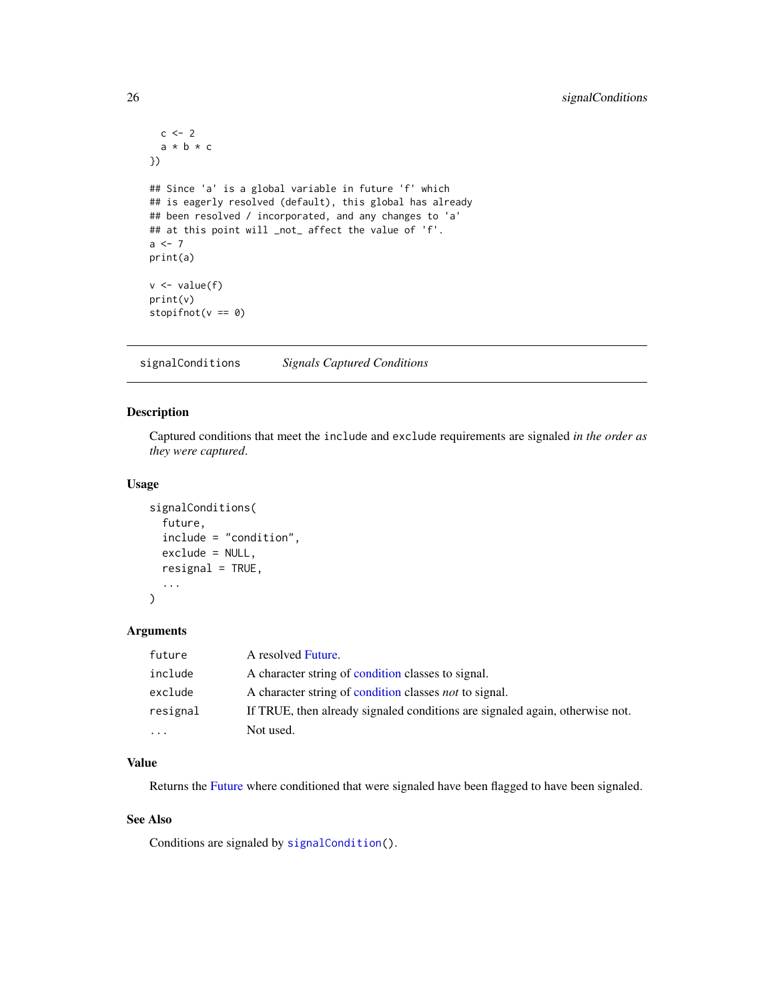```
c \le -2a * b * c
})
## Since 'a' is a global variable in future 'f' which
## is eagerly resolved (default), this global has already
## been resolved / incorporated, and any changes to 'a'
## at this point will _not_ affect the value of 'f'.
a \leftarrow 7print(a)
v <- value(f)
print(v)
stopifnot(v == 0)
```
signalConditions *Signals Captured Conditions*

#### Description

Captured conditions that meet the include and exclude requirements are signaled *in the order as they were captured*.

#### Usage

```
signalConditions(
  future,
  include = "condition",
  exclude = NULL,
  resignal = TRUE,...
\mathcal{L}
```
#### Arguments

| future   | A resolved Future.                                                           |
|----------|------------------------------------------------------------------------------|
| include  | A character string of condition classes to signal.                           |
| exclude  | A character string of condition classes <i>not</i> to signal.                |
| resignal | If TRUE, then already signaled conditions are signaled again, otherwise not. |
| .        | Not used.                                                                    |

#### Value

Returns the [Future](#page-0-0) where conditioned that were signaled have been flagged to have been signaled.

#### See Also

Conditions are signaled by [signalCondition\(](#page-0-0)).

<span id="page-25-0"></span>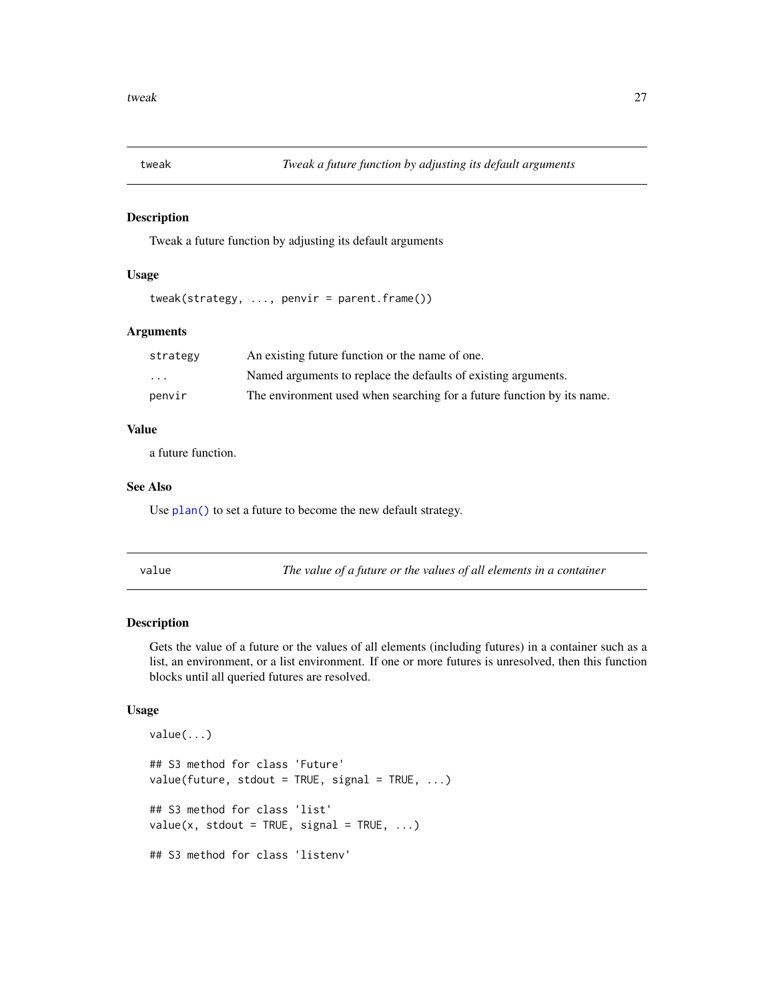<span id="page-26-0"></span>

Tweak a future function by adjusting its default arguments

#### Usage

```
tweak(strategy, ..., penvir = parent.frame())
```
#### Arguments

| strategy | An existing future function or the name of one.                        |
|----------|------------------------------------------------------------------------|
| .        | Named arguments to replace the defaults of existing arguments.         |
| penvir   | The environment used when searching for a future function by its name. |

#### Value

a future function.

#### See Also

Use [plan\(\)](#page-16-1) to set a future to become the new default strategy.

<span id="page-26-1"></span>value *The value of a future or the values of all elements in a container*

#### Description

Gets the value of a future or the values of all elements (including futures) in a container such as a list, an environment, or a list environment. If one or more futures is unresolved, then this function blocks until all queried futures are resolved.

#### Usage

```
value(...)
## S3 method for class 'Future'
value(fature, stdout = TRUE, signal = TRUE, ...)## S3 method for class 'list'
value(x, stdout = TRUE, signal = TRUE, ...)## S3 method for class 'listenv'
```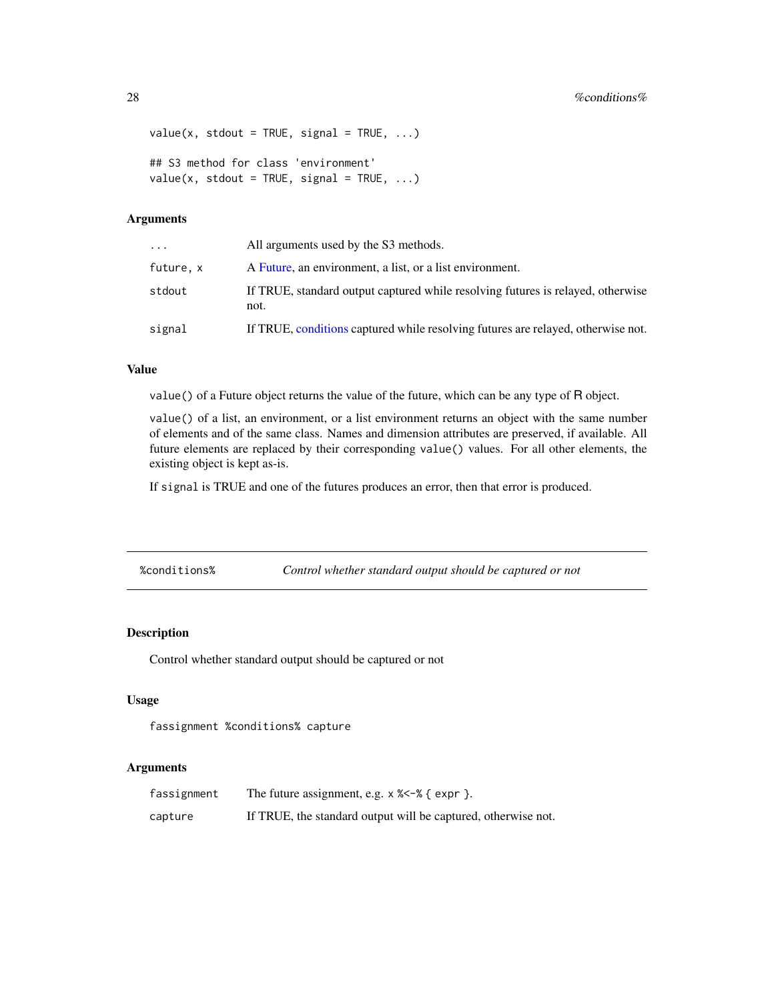```
value(x, stdout = TRUE, signal = TRUE, \ldots)
## S3 method for class 'environment'
value(x, stdout = TRUE, signal = TRUE, \ldots)
```
#### Arguments

| .        | All arguments used by the S3 methods.                                                   |
|----------|-----------------------------------------------------------------------------------------|
| future.x | A Future, an environment, a list, or a list environment.                                |
| stdout   | If TRUE, standard output captured while resolving futures is relayed, otherwise<br>not. |
| signal   | If TRUE, conditions captured while resolving futures are relayed, otherwise not.        |

#### Value

value() of a Future object returns the value of the future, which can be any type of R object.

value() of a list, an environment, or a list environment returns an object with the same number of elements and of the same class. Names and dimension attributes are preserved, if available. All future elements are replaced by their corresponding value() values. For all other elements, the existing object is kept as-is.

If signal is TRUE and one of the futures produces an error, then that error is produced.

%conditions% *Control whether standard output should be captured or not*

#### Description

Control whether standard output should be captured or not

#### Usage

fassignment %conditions% capture

| fassignment | The future assignment, e.g. $\times$ $\frac{2}{5}$ { expr }.  |
|-------------|---------------------------------------------------------------|
| capture     | If TRUE, the standard output will be captured, otherwise not. |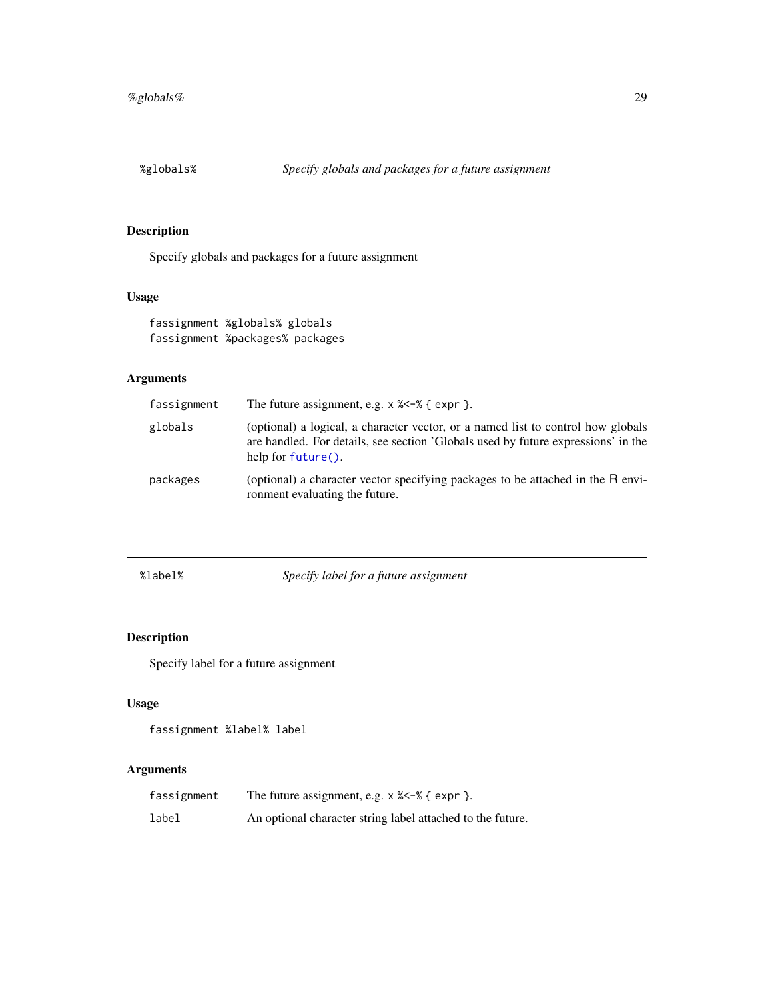<span id="page-28-1"></span><span id="page-28-0"></span>

Specify globals and packages for a future assignment

#### Usage

fassignment %globals% globals fassignment %packages% packages

#### Arguments

| fassignment | The future assignment, e.g. $\times$ $\frac{2}{5}$ $\div$ $\frac{2}{5}$ expr }.                                                                                                                |
|-------------|------------------------------------------------------------------------------------------------------------------------------------------------------------------------------------------------|
| globals     | (optional) a logical, a character vector, or a named list to control how globals<br>are handled. For details, see section 'Globals used by future expressions' in the<br>help for $future()$ . |
| packages    | (optional) a character vector specifying packages to be attached in the R envi-<br>ronment evaluating the future.                                                                              |

%label% *Specify label for a future assignment*

#### Description

Specify label for a future assignment

#### Usage

fassignment %label% label

| fassignment | The future assignment, e.g. $\times$ $\frac{2}{5}$ $\div$ $\frac{2}{5}$ $\div$ $\div$ $\div$ $\div$ $\div$ |
|-------------|------------------------------------------------------------------------------------------------------------|
| label       | An optional character string label attached to the future.                                                 |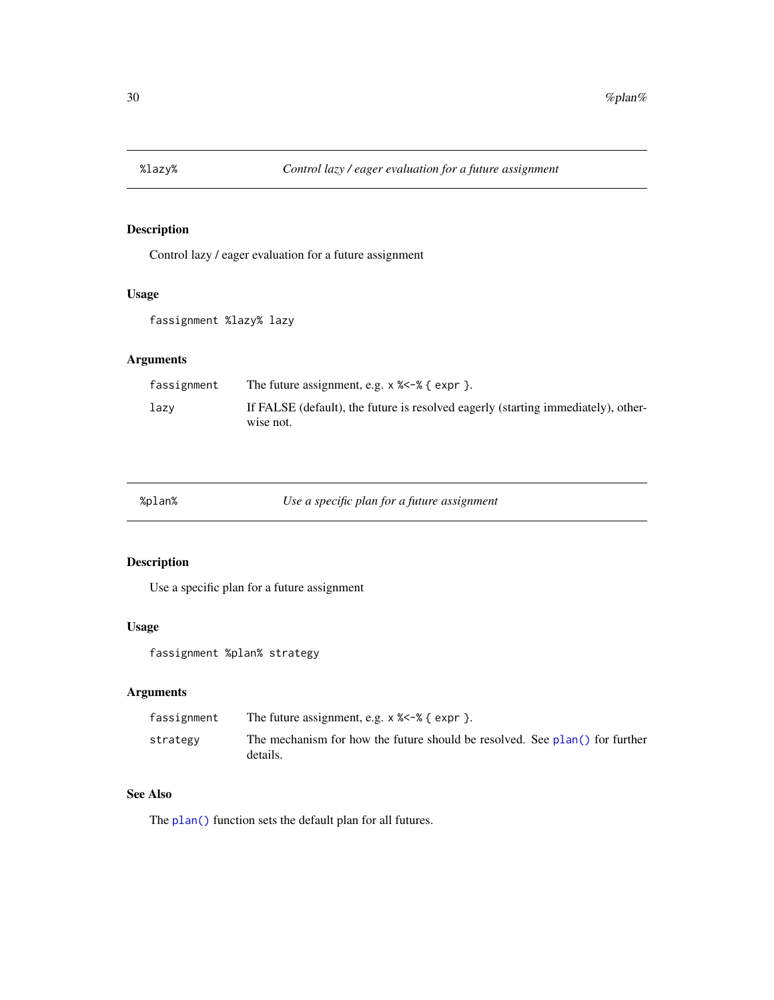<span id="page-29-0"></span>

Control lazy / eager evaluation for a future assignment

#### Usage

fassignment %lazy% lazy

#### Arguments

| fassignment | The future assignment, e.g. $\times$ $\frac{2}{5}$ $\div$ $\frac{2}{5}$ $\div$ $\div$ $\div$   |
|-------------|------------------------------------------------------------------------------------------------|
| lazv        | If FALSE (default), the future is resolved eagerly (starting immediately), other-<br>wise not. |

|  |  | blan%; |  |
|--|--|--------|--|
|--|--|--------|--|

%plan% *Use a specific plan for a future assignment*

#### Description

Use a specific plan for a future assignment

#### Usage

fassignment %plan% strategy

#### Arguments

| fassignment | The future assignment, e.g. $\times$ $\frac{2}{5}$ $\div$ $\frac{2}{5}$ $\div$ $\div$ $\frac{2}{5}$ $\div$ $\div$ $\div$ |
|-------------|--------------------------------------------------------------------------------------------------------------------------|
| strategy    | The mechanism for how the future should be resolved. See plan() for further<br>details.                                  |

#### See Also

The [plan\(\)](#page-16-1) function sets the default plan for all futures.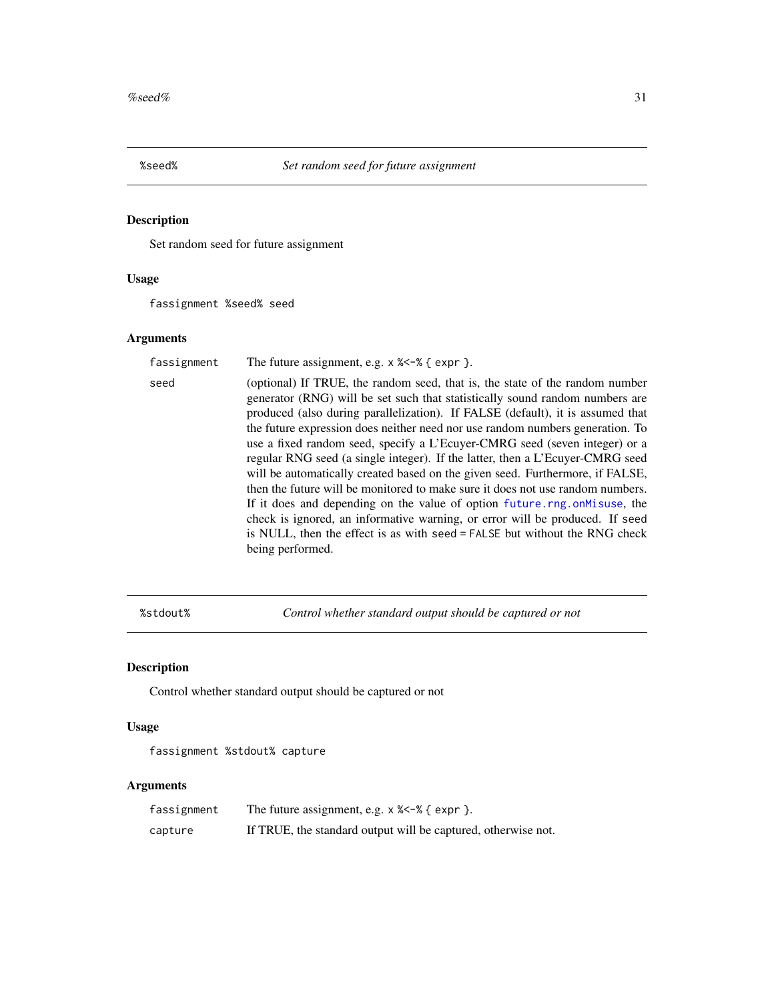<span id="page-30-0"></span>

Set random seed for future assignment

#### Usage

fassignment %seed% seed

#### Arguments

| fassignment | The future assignment, e.g. $\times$ $\frac{2}{5}$ $\div$ $\frac{2}{5}$ $\div$ $\div$ $\div$ $\div$ $\div$                                                                                                                                                                                                                                                                                                                                                                                                                                                                                                                                                                                                                                                                                                                                                                                                                       |
|-------------|----------------------------------------------------------------------------------------------------------------------------------------------------------------------------------------------------------------------------------------------------------------------------------------------------------------------------------------------------------------------------------------------------------------------------------------------------------------------------------------------------------------------------------------------------------------------------------------------------------------------------------------------------------------------------------------------------------------------------------------------------------------------------------------------------------------------------------------------------------------------------------------------------------------------------------|
| seed        | (optional) If TRUE, the random seed, that is, the state of the random number<br>generator (RNG) will be set such that statistically sound random numbers are<br>produced (also during parallelization). If FALSE (default), it is assumed that<br>the future expression does neither need nor use random numbers generation. To<br>use a fixed random seed, specify a L'Ecuyer-CMRG seed (seven integer) or a<br>regular RNG seed (a single integer). If the latter, then a L'Ecuyer-CMRG seed<br>will be automatically created based on the given seed. Furthermore, if FALSE,<br>then the future will be monitored to make sure it does not use random numbers.<br>If it does and depending on the value of option future rng on Misuse, the<br>check is ignored, an informative warning, or error will be produced. If seed<br>is NULL, then the effect is as with seed = FALSE but without the RNG check<br>being performed. |

%stdout% *Control whether standard output should be captured or not*

#### Description

Control whether standard output should be captured or not

#### Usage

fassignment %stdout% capture

| fassignment |                                                               |
|-------------|---------------------------------------------------------------|
| capture     | If TRUE, the standard output will be captured, otherwise not. |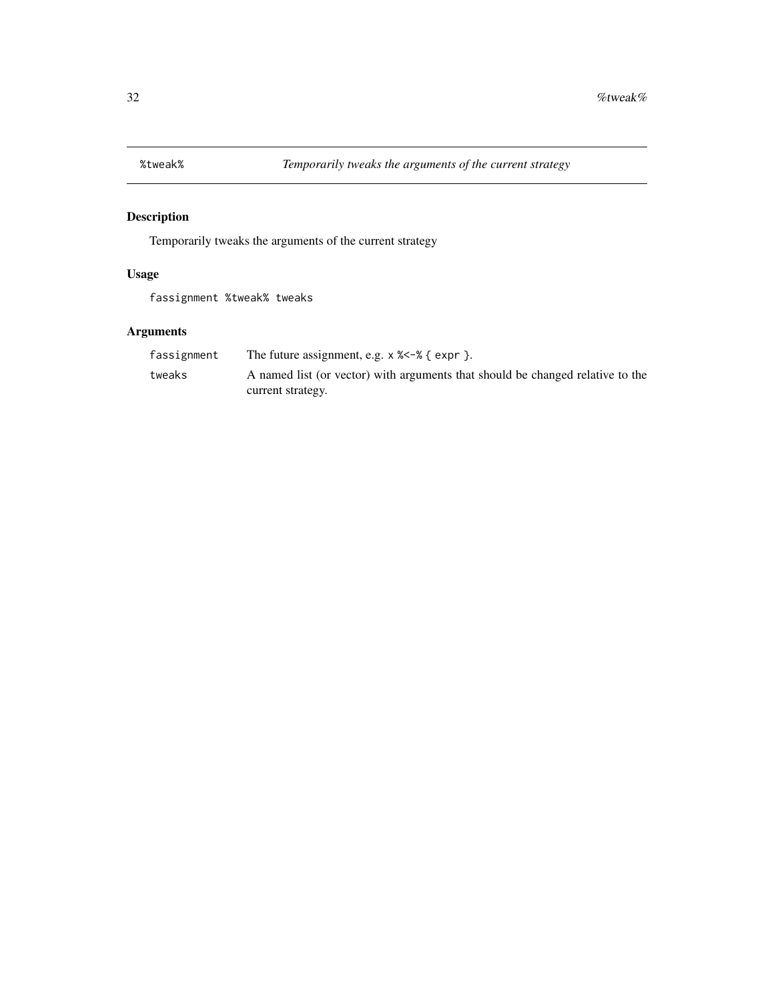<span id="page-31-0"></span>

Temporarily tweaks the arguments of the current strategy

#### Usage

fassignment %tweak% tweaks

| fassignment | The future assignment, e.g. $\times$ $\times$ $\sim$ $\%$ { expr }.            |
|-------------|--------------------------------------------------------------------------------|
| tweaks      | A named list (or vector) with arguments that should be changed relative to the |
|             | current strategy.                                                              |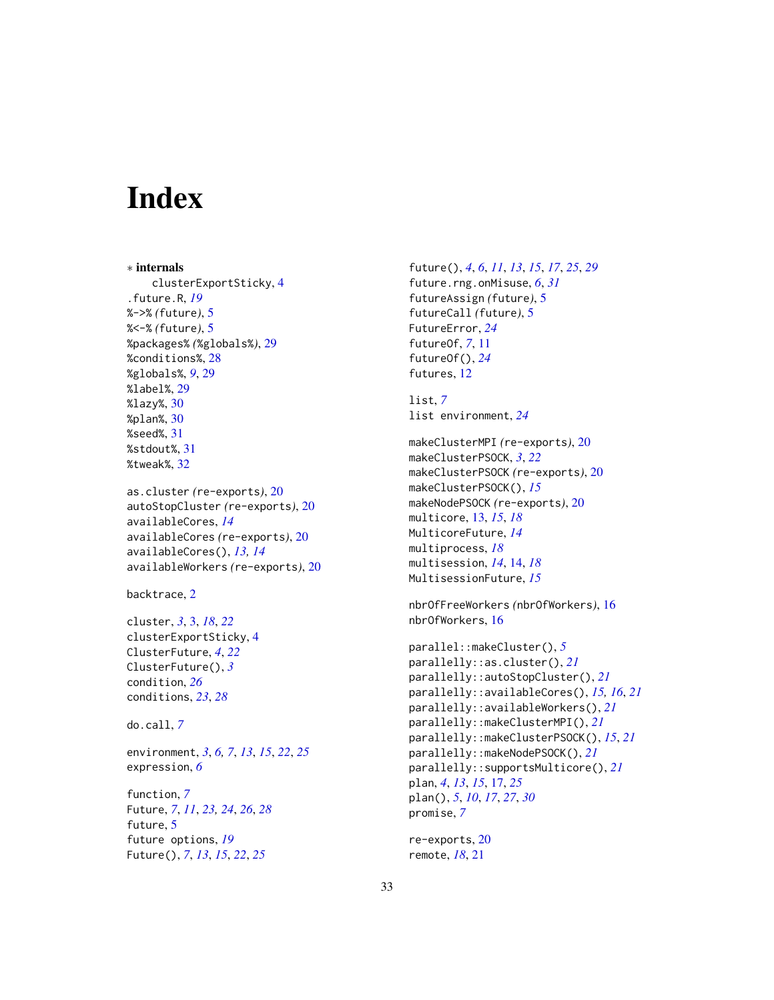# <span id="page-32-0"></span>**Index**

```
∗ internals
    clusterExportSticky, 4
.future.R, 19
%->% (future), 5
%<-% (future), 5
%packages% (%globals%), 29
%conditions%, 28
%globals%, 9, 29
%label%, 29
%lazy%, 30
%plan%, 30
%seed%, 31
%stdout%, 31
%tweak%, 32
as.cluster (re-exports), 20
autoStopCluster (re-exports), 20
availableCores, 14
availableCores (re-exports), 20
availableCores(), 13, 14
availableWorkers (re-exports), 20
backtrace, 2
cluster, 3, 3, 18, 22
clusterExportSticky, 4
ClusterFuture, 4, 22
ClusterFuture(), 3
condition, 26
conditions, 23, 28
do.call, 7
environment, 3, 6, 7, 13, 15, 22, 25
expression, 6
function, 7
```
Future, *[7](#page-6-0)*, *[11](#page-10-0)*, *[23,](#page-22-0) [24](#page-23-0)*, *[26](#page-25-0)*, *[28](#page-27-0)* future, [5](#page-4-0) future options, *[19](#page-18-0)* Future(), *[7](#page-6-0)*, *[13](#page-12-0)*, *[15](#page-14-0)*, *[22](#page-21-0)*, *[25](#page-24-0)*

future(), *[4](#page-3-0)*, *[6](#page-5-0)*, *[11](#page-10-0)*, *[13](#page-12-0)*, *[15](#page-14-0)*, *[17](#page-16-0)*, *[25](#page-24-0)*, *[29](#page-28-0)* future.rng.onMisuse, *[6](#page-5-0)*, *[31](#page-30-0)* futureAssign *(*future*)*, [5](#page-4-0) futureCall *(*future*)*, [5](#page-4-0) FutureError, *[24](#page-23-0)* futureOf, *[7](#page-6-0)*, [11](#page-10-0) futureOf(), *[24](#page-23-0)* futures, [12](#page-11-0)

list, *[7](#page-6-0)* list environment, *[24](#page-23-0)*

```
makeClusterMPI (re-exports), 20
makeClusterPSOCK, 3, 22
makeClusterPSOCK (re-exports), 20
makeClusterPSOCK(), 15
makeNodePSOCK (re-exports), 20
multicore, 13, 15, 18
MulticoreFuture, 14
multiprocess, 18
multisession, 14, 14, 18
MultisessionFuture, 15
```
nbrOfFreeWorkers *(*nbrOfWorkers*)*, [16](#page-15-0) nbrOfWorkers, [16](#page-15-0)

```
parallel::makeCluster(), 5
parallelly::as.cluster(), 21
parallelly::autoStopCluster(), 21
parallelly::availableCores(), 15, 16, 21
parallelly::availableWorkers(), 21
parallelly::makeClusterMPI(), 21
parallelly::makeClusterPSOCK(), 15, 21
parallelly::makeNodePSOCK(), 21
parallelly::supportsMulticore(), 21
plan, 4, 13, 15, 17, 25
plan(), 5, 10, 17, 27, 30
promise, 7
```

```
re-exports, 20
remote, 18, 21
```